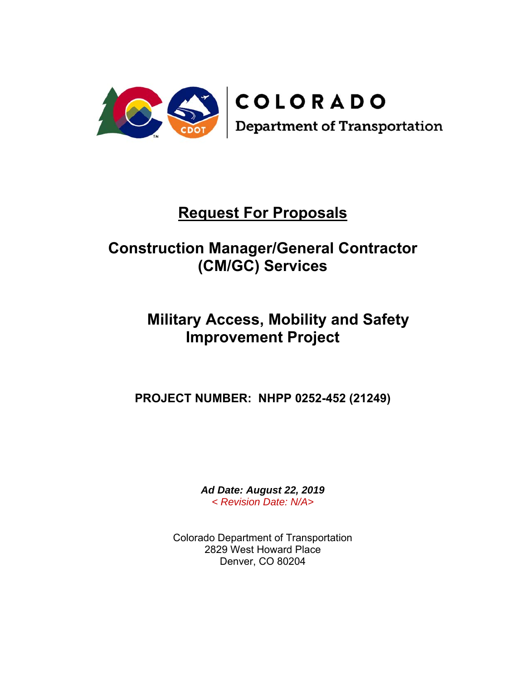

# **Request For Proposals**

# **Construction Manager/General Contractor (CM/GC) Services**

# **Military Access, Mobility and Safety Improvement Project**

**PROJECT NUMBER: NHPP 0252-452 (21249)**

*Ad Date: August 22, 2019 < Revision Date: N/A>* 

Colorado Department of Transportation 2829 West Howard Place Denver, CO 80204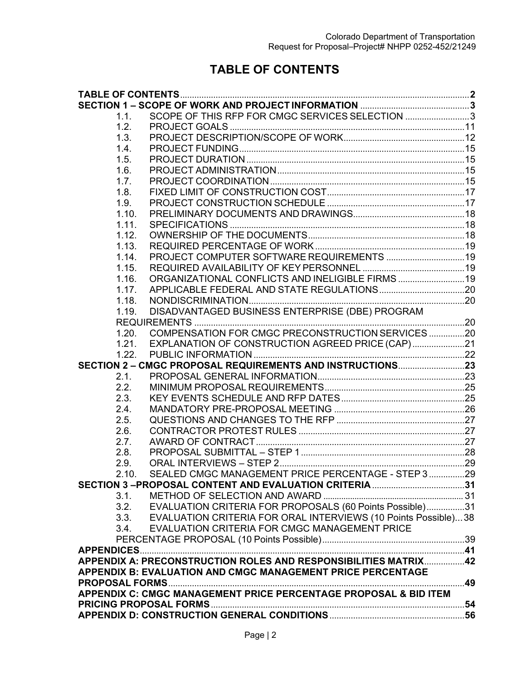# **TABLE OF CONTENTS**

| 1.1.  | SCOPE OF THIS RFP FOR CMGC SERVICES SELECTION 3                  |  |
|-------|------------------------------------------------------------------|--|
| 1.2.  |                                                                  |  |
| 1.3.  |                                                                  |  |
| 1.4.  |                                                                  |  |
| 1.5.  |                                                                  |  |
| 1.6.  |                                                                  |  |
| 1.7.  |                                                                  |  |
| 1.8.  |                                                                  |  |
| 1.9.  |                                                                  |  |
| 1.10. |                                                                  |  |
| 1.11. |                                                                  |  |
| 1.12. |                                                                  |  |
| 1.13. |                                                                  |  |
| 1.14. |                                                                  |  |
| 1.15. |                                                                  |  |
| 1.16. | ORGANIZATIONAL CONFLICTS AND INELIGIBLE FIRMS  19                |  |
| 1.17. |                                                                  |  |
| 1.18. |                                                                  |  |
| 1.19. | DISADVANTAGED BUSINESS ENTERPRISE (DBE) PROGRAM                  |  |
|       |                                                                  |  |
| 120   | COMPENSATION FOR CMGC PRECONSTRUCTION SERVICES 20                |  |
| 1.21. | EXPLANATION OF CONSTRUCTION AGREED PRICE (CAP)21                 |  |
| 1.22. |                                                                  |  |
|       |                                                                  |  |
| 2.1.  |                                                                  |  |
| 2.2.  |                                                                  |  |
| 2.3.  |                                                                  |  |
| 2.4.  |                                                                  |  |
| 2.5.  |                                                                  |  |
| 2.6.  |                                                                  |  |
| 2.7.  |                                                                  |  |
| 2.8.  |                                                                  |  |
| 2.9.  |                                                                  |  |
| 2.10. | SEALED CMGC MANAGEMENT PRICE PERCENTAGE - STEP 3 29              |  |
|       |                                                                  |  |
| 3.1.  |                                                                  |  |
| 3.2.  | EVALUATION CRITERIA FOR PROPOSALS (60 Points Possible)31         |  |
| 3.3.  | EVALUATION CRITERIA FOR ORAL INTERVIEWS (10 Points Possible)38   |  |
| 3.4.  | EVALUATION CRITERIA FOR CMGC MANAGEMENT PRICE                    |  |
|       |                                                                  |  |
|       |                                                                  |  |
|       | APPENDIX A: PRECONSTRUCTION ROLES AND RESPONSIBILITIES MATRIX42  |  |
|       | APPENDIX B: EVALUATION AND CMGC MANAGEMENT PRICE PERCENTAGE      |  |
|       |                                                                  |  |
|       | APPENDIX C: CMGC MANAGEMENT PRICE PERCENTAGE PROPOSAL & BID ITEM |  |
|       |                                                                  |  |
|       |                                                                  |  |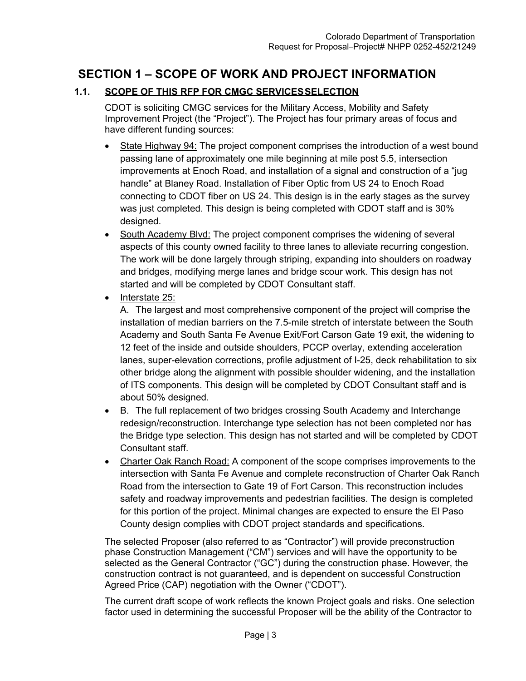# **SECTION 1 – SCOPE OF WORK AND PROJECT INFORMATION**

# **1.1. SCOPE OF THIS RFP FOR CMGC SERVICES SELECTION**

CDOT is soliciting CMGC services for the Military Access, Mobility and Safety Improvement Project (the "Project"). The Project has four primary areas of focus and have different funding sources:

- State Highway 94: The project component comprises the introduction of a west bound passing lane of approximately one mile beginning at mile post 5.5, intersection improvements at Enoch Road, and installation of a signal and construction of a "jug handle" at Blaney Road. Installation of Fiber Optic from US 24 to Enoch Road connecting to CDOT fiber on US 24. This design is in the early stages as the survey was just completed. This design is being completed with CDOT staff and is 30% designed.
- South Academy Blvd: The project component comprises the widening of several aspects of this county owned facility to three lanes to alleviate recurring congestion. The work will be done largely through striping, expanding into shoulders on roadway and bridges, modifying merge lanes and bridge scour work. This design has not started and will be completed by CDOT Consultant staff.
- Interstate 25:

A. The largest and most comprehensive component of the project will comprise the installation of median barriers on the 7.5-mile stretch of interstate between the South Academy and South Santa Fe Avenue Exit/Fort Carson Gate 19 exit, the widening to 12 feet of the inside and outside shoulders, PCCP overlay, extending acceleration lanes, super-elevation corrections, profile adjustment of I-25, deck rehabilitation to six other bridge along the alignment with possible shoulder widening, and the installation of ITS components. This design will be completed by CDOT Consultant staff and is about 50% designed.

- B. The full replacement of two bridges crossing South Academy and Interchange redesign/reconstruction. Interchange type selection has not been completed nor has the Bridge type selection. This design has not started and will be completed by CDOT Consultant staff.
- Charter Oak Ranch Road: A component of the scope comprises improvements to the intersection with Santa Fe Avenue and complete reconstruction of Charter Oak Ranch Road from the intersection to Gate 19 of Fort Carson. This reconstruction includes safety and roadway improvements and pedestrian facilities. The design is completed for this portion of the project. Minimal changes are expected to ensure the El Paso County design complies with CDOT project standards and specifications.

The selected Proposer (also referred to as "Contractor") will provide preconstruction phase Construction Management ("CM") services and will have the opportunity to be selected as the General Contractor ("GC") during the construction phase. However, the construction contract is not guaranteed, and is dependent on successful Construction Agreed Price (CAP) negotiation with the Owner ("CDOT").

The current draft scope of work reflects the known Project goals and risks. One selection factor used in determining the successful Proposer will be the ability of the Contractor to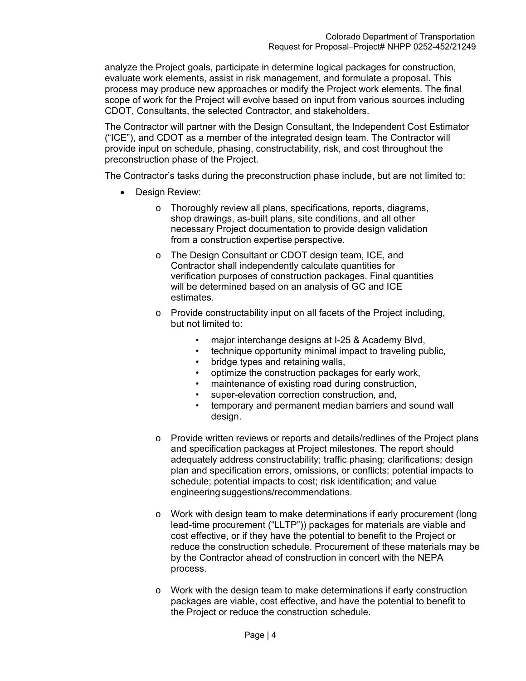analyze the Project goals, participate in determine logical packages for construction, evaluate work elements, assist in risk management, and formulate a proposal. This process may produce new approaches or modify the Project work elements. The final scope of work for the Project will evolve based on input from various sources including CDOT, Consultants, the selected Contractor, and stakeholders.

The Contractor will partner with the Design Consultant, the Independent Cost Estimator ("ICE"), and CDOT as a member of the integrated design team. The Contractor will provide input on schedule, phasing, constructability, risk, and cost throughout the preconstruction phase of the Project.

The Contractor's tasks during the preconstruction phase include, but are not limited to:

- Design Review:
	- o Thoroughly review all plans, specifications, reports, diagrams, shop drawings, as-built plans, site conditions, and all other necessary Project documentation to provide design validation from a construction expertise perspective.
	- o The Design Consultant or CDOT design team, ICE, and Contractor shall independently calculate quantities for verification purposes of construction packages. Final quantities will be determined based on an analysis of GC and ICE estimates.
	- o Provide constructability input on all facets of the Project including, but not limited to:
		- major interchange designs at I-25 & Academy Blvd,
		- technique opportunity minimal impact to traveling public,
		- bridge types and retaining walls,
		- optimize the construction packages for early work,
		- maintenance of existing road during construction,
		- super-elevation correction construction, and,
		- temporary and permanent median barriers and sound wall design.
	- o Provide written reviews or reports and details/redlines of the Project plans and specification packages at Project milestones. The report should adequately address constructability; traffic phasing; clarifications; design plan and specification errors, omissions, or conflicts; potential impacts to schedule; potential impacts to cost; risk identification; and value engineering suggestions/recommendations.
	- o Work with design team to make determinations if early procurement (long lead-time procurement ("LLTP")) packages for materials are viable and cost effective, or if they have the potential to benefit to the Project or reduce the construction schedule. Procurement of these materials may be by the Contractor ahead of construction in concert with the NEPA process.
	- $\circ$  Work with the design team to make determinations if early construction packages are viable, cost effective, and have the potential to benefit to the Project or reduce the construction schedule.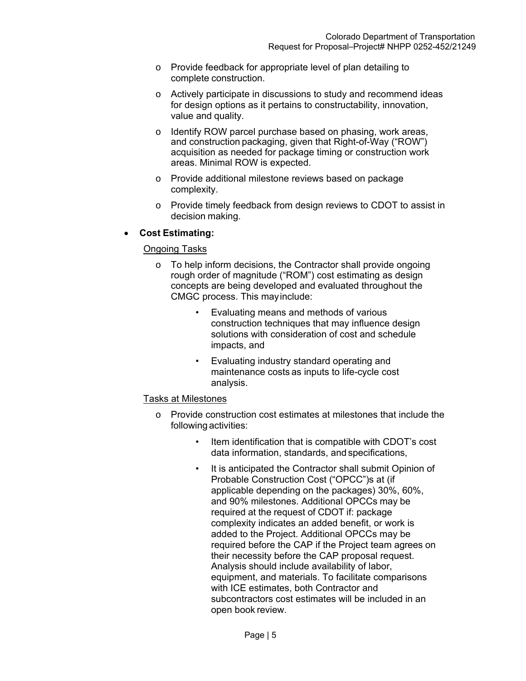- o Provide feedback for appropriate level of plan detailing to complete construction.
- o Actively participate in discussions to study and recommend ideas for design options as it pertains to constructability, innovation, value and quality.
- o Identify ROW parcel purchase based on phasing, work areas, and construction packaging, given that Right-of-Way ("ROW") acquisition as needed for package timing or construction work areas. Minimal ROW is expected.
- o Provide additional milestone reviews based on package complexity.
- o Provide timely feedback from design reviews to CDOT to assist in decision making.

## **Cost Estimating:**

#### Ongoing Tasks

- o To help inform decisions, the Contractor shall provide ongoing rough order of magnitude ("ROM") cost estimating as design concepts are being developed and evaluated throughout the CMGC process. This may include:
	- Evaluating means and methods of various construction techniques that may influence design solutions with consideration of cost and schedule impacts, and
	- Evaluating industry standard operating and maintenance costs as inputs to life-cycle cost analysis.

#### Tasks at Milestones

- o Provide construction cost estimates at milestones that include the following activities:
	- Item identification that is compatible with CDOT's cost data information, standards, and specifications,
	- It is anticipated the Contractor shall submit Opinion of Probable Construction Cost ("OPCC")s at (if applicable depending on the packages) 30%, 60%, and 90% milestones. Additional OPCCs may be required at the request of CDOT if: package complexity indicates an added benefit, or work is added to the Project. Additional OPCCs may be required before the CAP if the Project team agrees on their necessity before the CAP proposal request. Analysis should include availability of labor, equipment, and materials. To facilitate comparisons with ICE estimates, both Contractor and subcontractors cost estimates will be included in an open book review.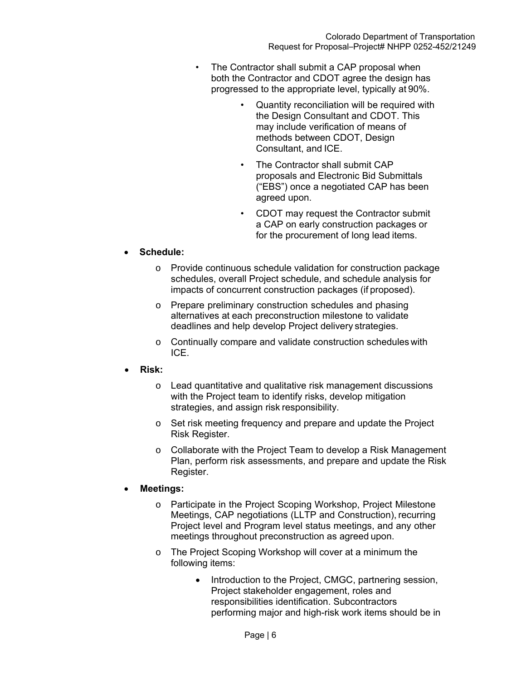- The Contractor shall submit a CAP proposal when both the Contractor and CDOT agree the design has progressed to the appropriate level, typically at 90%.
	- Quantity reconciliation will be required with the Design Consultant and CDOT. This may include verification of means of methods between CDOT, Design Consultant, and ICE.
	- The Contractor shall submit CAP proposals and Electronic Bid Submittals ("EBS") once a negotiated CAP has been agreed upon.
	- CDOT may request the Contractor submit a CAP on early construction packages or for the procurement of long lead items.

# **Schedule:**

- o Provide continuous schedule validation for construction package schedules, overall Project schedule, and schedule analysis for impacts of concurrent construction packages (if proposed).
- o Prepare preliminary construction schedules and phasing alternatives at each preconstruction milestone to validate deadlines and help develop Project delivery strategies.
- o Continually compare and validate construction schedules with ICE.
- **Risk:** 
	- o Lead quantitative and qualitative risk management discussions with the Project team to identify risks, develop mitigation strategies, and assign risk responsibility.
	- o Set risk meeting frequency and prepare and update the Project Risk Register.
	- o Collaborate with the Project Team to develop a Risk Management Plan, perform risk assessments, and prepare and update the Risk Register.

## **Meetings:**

- o Participate in the Project Scoping Workshop, Project Milestone Meetings, CAP negotiations (LLTP and Construction), recurring Project level and Program level status meetings, and any other meetings throughout preconstruction as agreed upon.
- o The Project Scoping Workshop will cover at a minimum the following items:
	- Introduction to the Project, CMGC, partnering session, Project stakeholder engagement, roles and responsibilities identification. Subcontractors performing major and high-risk work items should be in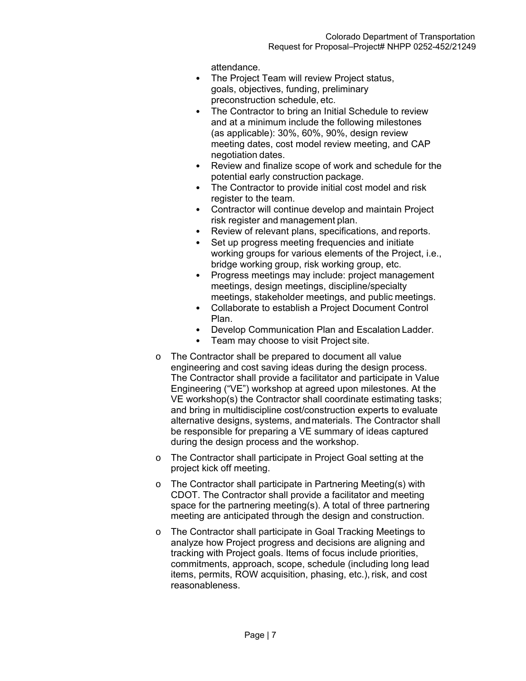attendance.

- The Project Team will review Project status, goals, objectives, funding, preliminary preconstruction schedule, etc.
- The Contractor to bring an Initial Schedule to review and at a minimum include the following milestones (as applicable): 30%, 60%, 90%, design review meeting dates, cost model review meeting, and CAP negotiation dates.
- Review and finalize scope of work and schedule for the potential early construction package.
- The Contractor to provide initial cost model and risk register to the team.
- Contractor will continue develop and maintain Project risk register and management plan.
- Review of relevant plans, specifications, and reports.
- Set up progress meeting frequencies and initiate working groups for various elements of the Project, i.e., bridge working group, risk working group, etc.
- Progress meetings may include: project management meetings, design meetings, discipline/specialty meetings, stakeholder meetings, and public meetings.
- Collaborate to establish a Project Document Control Plan.
- Develop Communication Plan and Escalation Ladder.
- Team may choose to visit Project site.
- o The Contractor shall be prepared to document all value engineering and cost saving ideas during the design process. The Contractor shall provide a facilitator and participate in Value Engineering ("VE") workshop at agreed upon milestones. At the VE workshop(s) the Contractor shall coordinate estimating tasks; and bring in multidiscipline cost/construction experts to evaluate alternative designs, systems, and materials. The Contractor shall be responsible for preparing a VE summary of ideas captured during the design process and the workshop.
- o The Contractor shall participate in Project Goal setting at the project kick off meeting.
- o The Contractor shall participate in Partnering Meeting(s) with CDOT. The Contractor shall provide a facilitator and meeting space for the partnering meeting(s). A total of three partnering meeting are anticipated through the design and construction.
- o The Contractor shall participate in Goal Tracking Meetings to analyze how Project progress and decisions are aligning and tracking with Project goals. Items of focus include priorities, commitments, approach, scope, schedule (including long lead items, permits, ROW acquisition, phasing, etc.), risk, and cost reasonableness.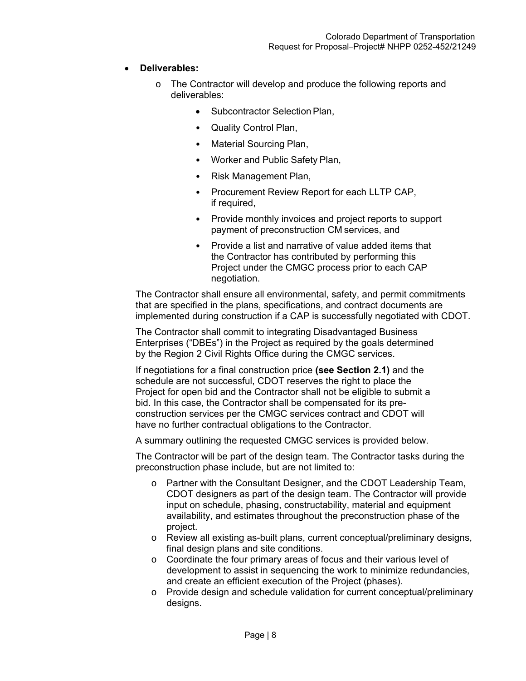# **Deliverables:**

- o The Contractor will develop and produce the following reports and deliverables:
	- Subcontractor Selection Plan,
	- Quality Control Plan,
	- Material Sourcing Plan,
	- Worker and Public Safety Plan,
	- Risk Management Plan,
	- Procurement Review Report for each LLTP CAP, if required,
	- Provide monthly invoices and project reports to support payment of preconstruction CM services, and
	- Provide a list and narrative of value added items that the Contractor has contributed by performing this Project under the CMGC process prior to each CAP negotiation.

The Contractor shall ensure all environmental, safety, and permit commitments that are specified in the plans, specifications, and contract documents are implemented during construction if a CAP is successfully negotiated with CDOT.

The Contractor shall commit to integrating Disadvantaged Business Enterprises ("DBEs") in the Project as required by the goals determined by the Region 2 Civil Rights Office during the CMGC services.

If negotiations for a final construction price **(see Section 2.1)** and the schedule are not successful, CDOT reserves the right to place the Project for open bid and the Contractor shall not be eligible to submit a bid. In this case, the Contractor shall be compensated for its preconstruction services per the CMGC services contract and CDOT will have no further contractual obligations to the Contractor.

A summary outlining the requested CMGC services is provided below.

The Contractor will be part of the design team. The Contractor tasks during the preconstruction phase include, but are not limited to:

- o Partner with the Consultant Designer, and the CDOT Leadership Team, CDOT designers as part of the design team. The Contractor will provide input on schedule, phasing, constructability, material and equipment availability, and estimates throughout the preconstruction phase of the project.
- o Review all existing as-built plans, current conceptual/preliminary designs, final design plans and site conditions.
- o Coordinate the four primary areas of focus and their various level of development to assist in sequencing the work to minimize redundancies, and create an efficient execution of the Project (phases).
- o Provide design and schedule validation for current conceptual/preliminary designs.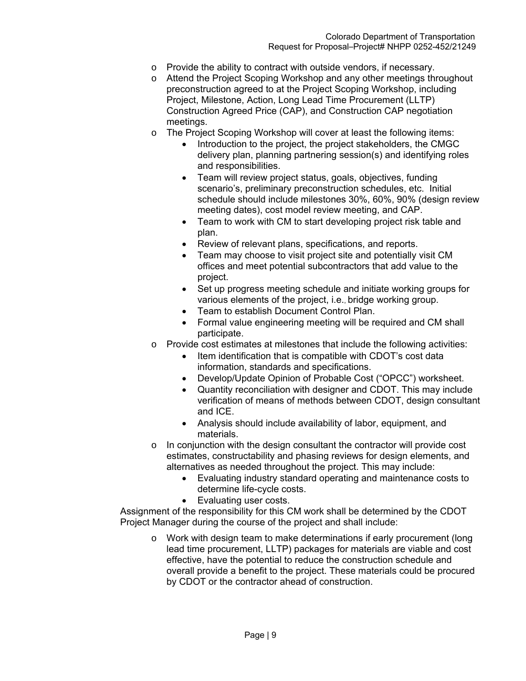- o Provide the ability to contract with outside vendors, if necessary.
- o Attend the Project Scoping Workshop and any other meetings throughout preconstruction agreed to at the Project Scoping Workshop, including Project, Milestone, Action, Long Lead Time Procurement (LLTP) Construction Agreed Price (CAP), and Construction CAP negotiation meetings.
- o The Project Scoping Workshop will cover at least the following items:
	- Introduction to the project, the project stakeholders, the CMGC delivery plan, planning partnering session(s) and identifying roles and responsibilities.
	- Team will review project status, goals, objectives, funding scenario's, preliminary preconstruction schedules, etc. Initial schedule should include milestones 30%, 60%, 90% (design review meeting dates), cost model review meeting, and CAP.
	- Team to work with CM to start developing project risk table and plan.
	- Review of relevant plans, specifications, and reports.
	- Team may choose to visit project site and potentially visit CM offices and meet potential subcontractors that add value to the project.
	- Set up progress meeting schedule and initiate working groups for various elements of the project, i.e., bridge working group.
	- Team to establish Document Control Plan.
	- Formal value engineering meeting will be required and CM shall participate.
- o Provide cost estimates at milestones that include the following activities:
	- Item identification that is compatible with CDOT's cost data information, standards and specifications.
	- Develop/Update Opinion of Probable Cost ("OPCC") worksheet.
	- Quantity reconciliation with designer and CDOT. This may include verification of means of methods between CDOT, design consultant and ICE.
	- Analysis should include availability of labor, equipment, and materials.
- o In conjunction with the design consultant the contractor will provide cost estimates, constructability and phasing reviews for design elements, and alternatives as needed throughout the project. This may include:
	- Evaluating industry standard operating and maintenance costs to determine life-cycle costs.
	- Evaluating user costs.

Assignment of the responsibility for this CM work shall be determined by the CDOT Project Manager during the course of the project and shall include:

o Work with design team to make determinations if early procurement (long lead time procurement, LLTP) packages for materials are viable and cost effective, have the potential to reduce the construction schedule and overall provide a benefit to the project. These materials could be procured by CDOT or the contractor ahead of construction.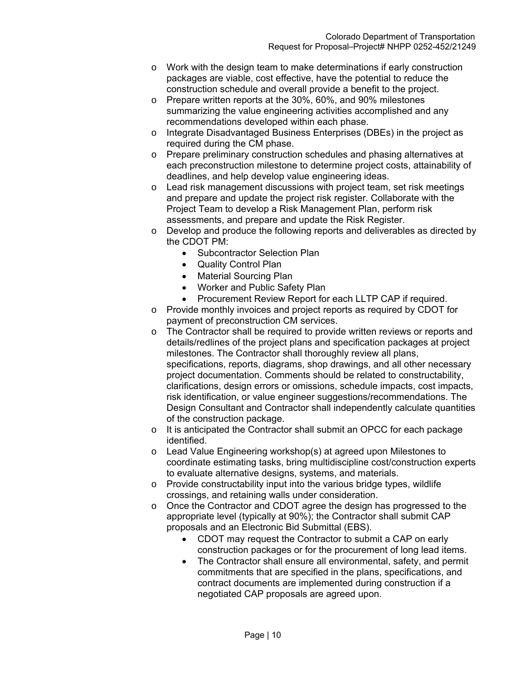- $\circ$  Work with the design team to make determinations if early construction packages are viable, cost effective, have the potential to reduce the construction schedule and overall provide a benefit to the project.
- o Prepare written reports at the 30%, 60%, and 90% milestones summarizing the value engineering activities accomplished and any recommendations developed within each phase.
- o Integrate Disadvantaged Business Enterprises (DBEs) in the project as required during the CM phase.
- o Prepare preliminary construction schedules and phasing alternatives at each preconstruction milestone to determine project costs, attainability of deadlines, and help develop value engineering ideas.
- o Lead risk management discussions with project team, set risk meetings and prepare and update the project risk register. Collaborate with the Project Team to develop a Risk Management Plan, perform risk assessments, and prepare and update the Risk Register.
- o Develop and produce the following reports and deliverables as directed by the CDOT PM:
	- Subcontractor Selection Plan
	- Quality Control Plan
	- Material Sourcing Plan
	- Worker and Public Safety Plan
	- Procurement Review Report for each LLTP CAP if required.
- o Provide monthly invoices and project reports as required by CDOT for payment of preconstruction CM services.
- $\circ$  The Contractor shall be required to provide written reviews or reports and details/redlines of the project plans and specification packages at project milestones. The Contractor shall thoroughly review all plans, specifications, reports, diagrams, shop drawings, and all other necessary project documentation. Comments should be related to constructability, clarifications, design errors or omissions, schedule impacts, cost impacts, risk identification, or value engineer suggestions/recommendations. The Design Consultant and Contractor shall independently calculate quantities of the construction package.
- o It is anticipated the Contractor shall submit an OPCC for each package identified.
- o Lead Value Engineering workshop(s) at agreed upon Milestones to coordinate estimating tasks, bring multidiscipline cost/construction experts to evaluate alternative designs, systems, and materials.
- o Provide constructability input into the various bridge types, wildlife crossings, and retaining walls under consideration.
- o Once the Contractor and CDOT agree the design has progressed to the appropriate level (typically at 90%); the Contractor shall submit CAP proposals and an Electronic Bid Submittal (EBS).
	- CDOT may request the Contractor to submit a CAP on early construction packages or for the procurement of long lead items.
	- The Contractor shall ensure all environmental, safety, and permit commitments that are specified in the plans, specifications, and contract documents are implemented during construction if a negotiated CAP proposals are agreed upon.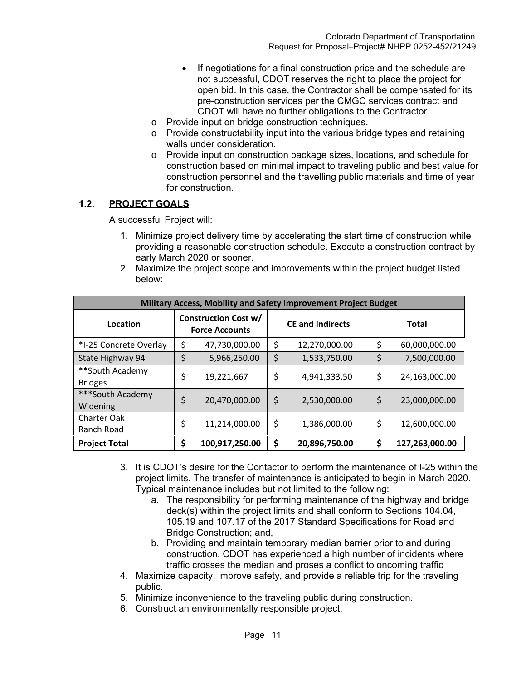- If negotiations for a final construction price and the schedule are not successful, CDOT reserves the right to place the project for open bid. In this case, the Contractor shall be compensated for its pre-construction services per the CMGC services contract and CDOT will have no further obligations to the Contractor.
- o Provide input on bridge construction techniques.
- o Provide constructability input into the various bridge types and retaining walls under consideration.
- o Provide input on construction package sizes, locations, and schedule for construction based on minimal impact to traveling public and best value for construction personnel and the travelling public materials and time of year for construction.

# **1.2. PROJECT GOALS**

A successful Project will:

- 1. Minimize project delivery time by accelerating the start time of construction while providing a reasonable construction schedule. Execute a construction contract by early March 2020 or sooner.
- 2. Maximize the project scope and improvements within the project budget listed below:

| Military Access, Mobility and Safety Improvement Project Budget |                                                      |                |                         |               |              |                |
|-----------------------------------------------------------------|------------------------------------------------------|----------------|-------------------------|---------------|--------------|----------------|
| Location                                                        | <b>Construction Cost w/</b><br><b>Force Accounts</b> |                | <b>CE and Indirects</b> |               | <b>Total</b> |                |
| *I-25 Concrete Overlay                                          | \$                                                   | 47,730,000.00  | \$                      | 12,270,000.00 | \$           | 60,000,000.00  |
| State Highway 94                                                | \$                                                   | 5,966,250.00   | \$                      | 1,533,750.00  | \$           | 7,500,000.00   |
| **South Academy<br><b>Bridges</b>                               | \$                                                   | 19,221,667     | \$                      | 4,941,333.50  | \$           | 24,163,000.00  |
| ***South Academy<br>Widening                                    | \$                                                   | 20,470,000.00  | \$                      | 2,530,000.00  | \$           | 23,000,000.00  |
| Charter Oak<br>Ranch Road                                       | \$                                                   | 11,214,000.00  | \$                      | 1,386,000.00  | \$           | 12,600,000.00  |
| <b>Project Total</b>                                            | \$                                                   | 100,917,250.00 | \$                      | 20,896,750.00 | \$           | 127,263,000.00 |

- 3. It is CDOT's desire for the Contactor to perform the maintenance of I-25 within the project limits. The transfer of maintenance is anticipated to begin in March 2020. Typical maintenance includes but not limited to the following:
	- a. The responsibility for performing maintenance of the highway and bridge deck(s) within the project limits and shall conform to Sections 104.04, 105.19 and 107.17 of the 2017 Standard Specifications for Road and Bridge Construction; and,
	- b. Providing and maintain temporary median barrier prior to and during construction. CDOT has experienced a high number of incidents where traffic crosses the median and proses a conflict to oncoming traffic
- 4. Maximize capacity, improve safety, and provide a reliable trip for the traveling public.
- 5. Minimize inconvenience to the traveling public during construction.
- 6. Construct an environmentally responsible project.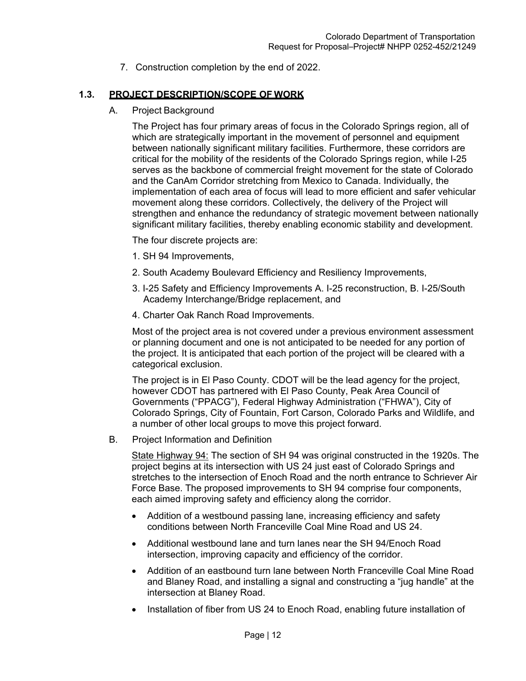7. Construction completion by the end of 2022.

# **1.3. PROJECT DESCRIPTION/SCOPE OF WORK**

A. Project Background

The Project has four primary areas of focus in the Colorado Springs region, all of which are strategically important in the movement of personnel and equipment between nationally significant military facilities. Furthermore, these corridors are critical for the mobility of the residents of the Colorado Springs region, while I-25 serves as the backbone of commercial freight movement for the state of Colorado and the CanAm Corridor stretching from Mexico to Canada. Individually, the implementation of each area of focus will lead to more efficient and safer vehicular movement along these corridors. Collectively, the delivery of the Project will strengthen and enhance the redundancy of strategic movement between nationally significant military facilities, thereby enabling economic stability and development.

The four discrete projects are:

- 1. SH 94 Improvements,
- 2. South Academy Boulevard Efficiency and Resiliency Improvements,
- 3. I-25 Safety and Efficiency Improvements A. I-25 reconstruction, B. I-25/South Academy Interchange/Bridge replacement, and
- 4. Charter Oak Ranch Road Improvements.

Most of the project area is not covered under a previous environment assessment or planning document and one is not anticipated to be needed for any portion of the project. It is anticipated that each portion of the project will be cleared with a categorical exclusion.

The project is in El Paso County. CDOT will be the lead agency for the project, however CDOT has partnered with El Paso County, Peak Area Council of Governments ("PPACG"), Federal Highway Administration ("FHWA"), City of Colorado Springs, City of Fountain, Fort Carson, Colorado Parks and Wildlife, and a number of other local groups to move this project forward.

B. Project Information and Definition

State Highway 94: The section of SH 94 was original constructed in the 1920s. The project begins at its intersection with US 24 just east of Colorado Springs and stretches to the intersection of Enoch Road and the north entrance to Schriever Air Force Base. The proposed improvements to SH 94 comprise four components, each aimed improving safety and efficiency along the corridor.

- Addition of a westbound passing lane, increasing efficiency and safety conditions between North Franceville Coal Mine Road and US 24.
- Additional westbound lane and turn lanes near the SH 94/Enoch Road intersection, improving capacity and efficiency of the corridor.
- Addition of an eastbound turn lane between North Franceville Coal Mine Road and Blaney Road, and installing a signal and constructing a "jug handle" at the intersection at Blaney Road.
- Installation of fiber from US 24 to Enoch Road, enabling future installation of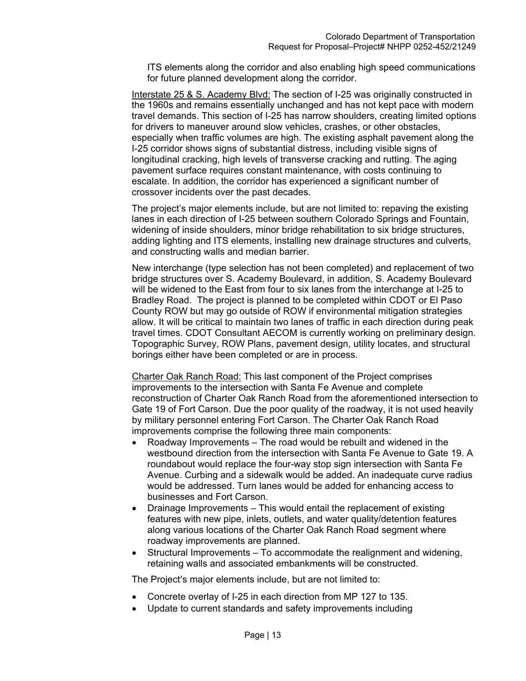ITS elements along the corridor and also enabling high speed communications for future planned development along the corridor.

Interstate 25 & S. Academy Blvd: The section of I-25 was originally constructed in the 1960s and remains essentially unchanged and has not kept pace with modern travel demands. This section of I-25 has narrow shoulders, creating limited options for drivers to maneuver around slow vehicles, crashes, or other obstacles, especially when traffic volumes are high. The existing asphalt pavement along the I-25 corridor shows signs of substantial distress, including visible signs of longitudinal cracking, high levels of transverse cracking and rutting. The aging pavement surface requires constant maintenance, with costs continuing to escalate. In addition, the corridor has experienced a significant number of crossover incidents over the past decades.

The project's major elements include, but are not limited to: repaving the existing lanes in each direction of I-25 between southern Colorado Springs and Fountain, widening of inside shoulders, minor bridge rehabilitation to six bridge structures, adding lighting and ITS elements, installing new drainage structures and culverts, and constructing walls and median barrier.

New interchange (type selection has not been completed) and replacement of two bridge structures over S. Academy Boulevard, in addition, S. Academy Boulevard will be widened to the East from four to six lanes from the interchange at I-25 to Bradley Road. The project is planned to be completed within CDOT or El Paso County ROW but may go outside of ROW if environmental mitigation strategies allow. It will be critical to maintain two lanes of traffic in each direction during peak travel times. CDOT Consultant AECOM is currently working on preliminary design. Topographic Survey, ROW Plans, pavement design, utility locates, and structural borings either have been completed or are in process.

Charter Oak Ranch Road: This last component of the Project comprises improvements to the intersection with Santa Fe Avenue and complete reconstruction of Charter Oak Ranch Road from the aforementioned intersection to Gate 19 of Fort Carson. Due the poor quality of the roadway, it is not used heavily by military personnel entering Fort Carson. The Charter Oak Ranch Road improvements comprise the following three main components:

- Roadway Improvements The road would be rebuilt and widened in the westbound direction from the intersection with Santa Fe Avenue to Gate 19. A roundabout would replace the four-way stop sign intersection with Santa Fe Avenue. Curbing and a sidewalk would be added. An inadequate curve radius would be addressed. Turn lanes would be added for enhancing access to businesses and Fort Carson.
- Drainage Improvements This would entail the replacement of existing features with new pipe, inlets, outlets, and water quality/detention features along various locations of the Charter Oak Ranch Road segment where roadway improvements are planned.
- Structural Improvements To accommodate the realignment and widening, retaining walls and associated embankments will be constructed.

The Project's major elements include, but are not limited to:

- Concrete overlay of I-25 in each direction from MP 127 to 135.
- Update to current standards and safety improvements including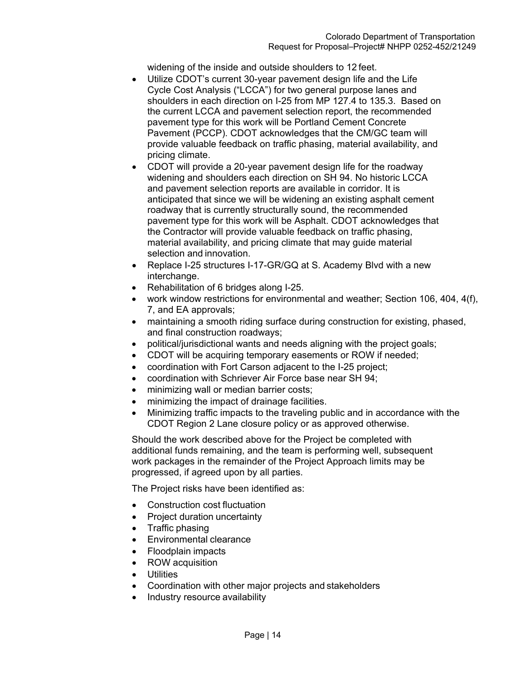widening of the inside and outside shoulders to 12 feet.

- Utilize CDOT's current 30-year pavement design life and the Life Cycle Cost Analysis ("LCCA") for two general purpose lanes and shoulders in each direction on I-25 from MP 127.4 to 135.3. Based on the current LCCA and pavement selection report, the recommended pavement type for this work will be Portland Cement Concrete Pavement (PCCP). CDOT acknowledges that the CM/GC team will provide valuable feedback on traffic phasing, material availability, and pricing climate.
- CDOT will provide a 20-year pavement design life for the roadway widening and shoulders each direction on SH 94. No historic LCCA and pavement selection reports are available in corridor. It is anticipated that since we will be widening an existing asphalt cement roadway that is currently structurally sound, the recommended pavement type for this work will be Asphalt. CDOT acknowledges that the Contractor will provide valuable feedback on traffic phasing, material availability, and pricing climate that may guide material selection and innovation.
- Replace I-25 structures I-17-GR/GQ at S. Academy Blvd with a new interchange.
- Rehabilitation of 6 bridges along I-25.
- work window restrictions for environmental and weather; Section 106, 404, 4(f), 7, and EA approvals;
- maintaining a smooth riding surface during construction for existing, phased, and final construction roadways;
- political/jurisdictional wants and needs aligning with the project goals;
- CDOT will be acquiring temporary easements or ROW if needed;
- coordination with Fort Carson adjacent to the I-25 project;
- coordination with Schriever Air Force base near SH 94;
- minimizing wall or median barrier costs;
- minimizing the impact of drainage facilities.
- Minimizing traffic impacts to the traveling public and in accordance with the CDOT Region 2 Lane closure policy or as approved otherwise.

Should the work described above for the Project be completed with additional funds remaining, and the team is performing well, subsequent work packages in the remainder of the Project Approach limits may be progressed, if agreed upon by all parties.

The Project risks have been identified as:

- Construction cost fluctuation
- Project duration uncertainty
- Traffic phasing
- Environmental clearance
- Floodplain impacts
- ROW acquisition
- Utilities
- Coordination with other major projects and stakeholders
- Industry resource availability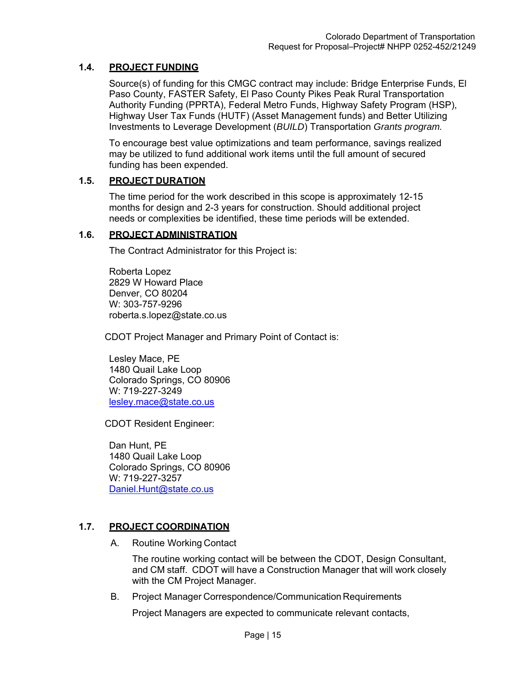## **1.4. PROJECT FUNDING**

Source(s) of funding for this CMGC contract may include: Bridge Enterprise Funds, El Paso County, FASTER Safety, El Paso County Pikes Peak Rural Transportation Authority Funding (PPRTA), Federal Metro Funds, Highway Safety Program (HSP), Highway User Tax Funds (HUTF) (Asset Management funds) and Better Utilizing Investments to Leverage Development (*BUILD*) Transportation *Grants program.*

To encourage best value optimizations and team performance, savings realized may be utilized to fund additional work items until the full amount of secured funding has been expended.

#### **1.5. PROJECT DURATION**

The time period for the work described in this scope is approximately 12-15 months for design and 2-3 years for construction. Should additional project needs or complexities be identified, these time periods will be extended.

#### **1.6. PROJECT ADMINISTRATION**

The Contract Administrator for this Project is:

Roberta Lopez 2829 W Howard Place Denver, CO 80204 W: 303-757-9296 roberta.s.lopez@state.co.us

CDOT Project Manager and Primary Point of Contact is:

Lesley Mace, PE 1480 Quail Lake Loop Colorado Springs, CO 80906 W: 719-227-3249 lesley.mace@state.co.us

CDOT Resident Engineer:

Dan Hunt, PE 1480 Quail Lake Loop Colorado Springs, CO 80906 W: 719-227-3257 Daniel.Hunt@state.co.us

## **1.7. PROJECT COORDINATION**

A. Routine Working Contact

The routine working contact will be between the CDOT, Design Consultant, and CM staff. CDOT will have a Construction Manager that will work closely with the CM Project Manager.

B. Project Manager Correspondence/Communication Requirements

Project Managers are expected to communicate relevant contacts,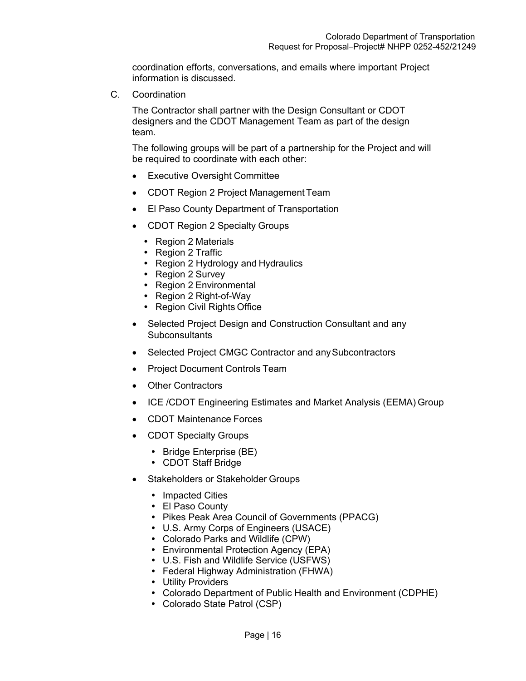coordination efforts, conversations, and emails where important Project information is discussed.

C. Coordination

The Contractor shall partner with the Design Consultant or CDOT designers and the CDOT Management Team as part of the design team.

The following groups will be part of a partnership for the Project and will be required to coordinate with each other:

- Executive Oversight Committee
- CDOT Region 2 Project Management Team
- El Paso County Department of Transportation
- CDOT Region 2 Specialty Groups
	- Region 2 Materials
	- Region 2 Traffic
	- Region 2 Hydrology and Hydraulics
	- Region 2 Survey
	- Region 2 Environmental
	- Region 2 Right-of-Way
	- Region Civil Rights Office
- Selected Project Design and Construction Consultant and any **Subconsultants**
- Selected Project CMGC Contractor and any Subcontractors
- Project Document Controls Team
- Other Contractors
- ICE /CDOT Engineering Estimates and Market Analysis (EEMA) Group
- CDOT Maintenance Forces
- CDOT Specialty Groups
	- Bridge Enterprise (BE)
	- CDOT Staff Bridge
- Stakeholders or Stakeholder Groups
	- Impacted Cities
	- El Paso County
	- Pikes Peak Area Council of Governments (PPACG)
	- U.S. Army Corps of Engineers (USACE)
	- Colorado Parks and Wildlife (CPW)
	- Environmental Protection Agency (EPA)
	- U.S. Fish and Wildlife Service (USFWS)
	- Federal Highway Administration (FHWA)
	- Utility Providers
	- Colorado Department of Public Health and Environment (CDPHE)
	- Colorado State Patrol (CSP)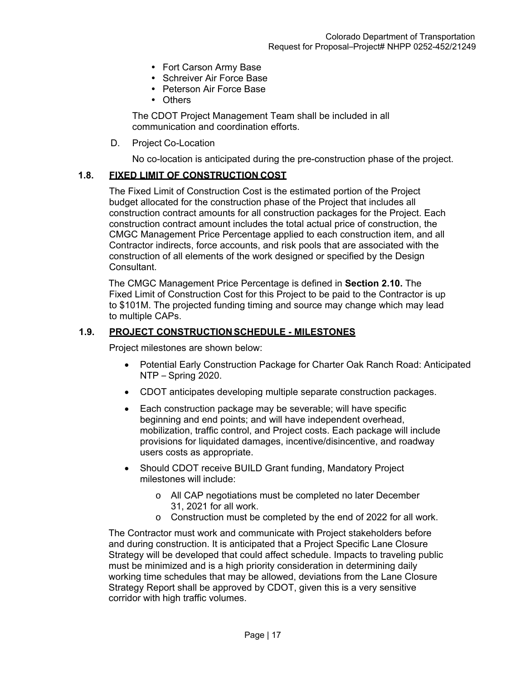- Fort Carson Army Base
- Schreiver Air Force Base
- Peterson Air Force Base
- Others

The CDOT Project Management Team shall be included in all communication and coordination efforts.

#### D. Project Co-Location

No co-location is anticipated during the pre-construction phase of the project.

#### **1.8. FIXED LIMIT OF CONSTRUCTION COST**

The Fixed Limit of Construction Cost is the estimated portion of the Project budget allocated for the construction phase of the Project that includes all construction contract amounts for all construction packages for the Project. Each construction contract amount includes the total actual price of construction, the CMGC Management Price Percentage applied to each construction item, and all Contractor indirects, force accounts, and risk pools that are associated with the construction of all elements of the work designed or specified by the Design Consultant.

The CMGC Management Price Percentage is defined in **Section 2.10.** The Fixed Limit of Construction Cost for this Project to be paid to the Contractor is up to \$101M. The projected funding timing and source may change which may lead to multiple CAPs.

#### **1.9. PROJECT CONSTRUCTION SCHEDULE - MILESTONES**

Project milestones are shown below:

- Potential Early Construction Package for Charter Oak Ranch Road: Anticipated NTP – Spring 2020.
- CDOT anticipates developing multiple separate construction packages.
- Each construction package may be severable; will have specific beginning and end points; and will have independent overhead, mobilization, traffic control, and Project costs. Each package will include provisions for liquidated damages, incentive/disincentive, and roadway users costs as appropriate.
- Should CDOT receive BUILD Grant funding, Mandatory Project milestones will include:
	- o All CAP negotiations must be completed no later December 31, 2021 for all work.
	- o Construction must be completed by the end of 2022 for all work.

The Contractor must work and communicate with Project stakeholders before and during construction. It is anticipated that a Project Specific Lane Closure Strategy will be developed that could affect schedule. Impacts to traveling public must be minimized and is a high priority consideration in determining daily working time schedules that may be allowed, deviations from the Lane Closure Strategy Report shall be approved by CDOT, given this is a very sensitive corridor with high traffic volumes.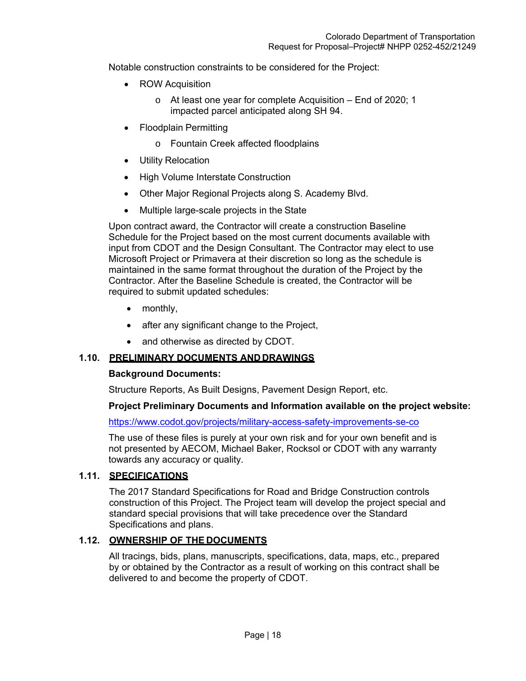Notable construction constraints to be considered for the Project:

- ROW Acquisition
	- o At least one year for complete Acquisition End of 2020; 1 impacted parcel anticipated along SH 94.
- Floodplain Permitting
	- o Fountain Creek affected floodplains
- Utility Relocation
- High Volume Interstate Construction
- Other Major Regional Projects along S. Academy Blvd.
- Multiple large-scale projects in the State

Upon contract award, the Contractor will create a construction Baseline Schedule for the Project based on the most current documents available with input from CDOT and the Design Consultant. The Contractor may elect to use Microsoft Project or Primavera at their discretion so long as the schedule is maintained in the same format throughout the duration of the Project by the Contractor. After the Baseline Schedule is created, the Contractor will be required to submit updated schedules:

- monthly.
- after any significant change to the Project,
- and otherwise as directed by CDOT.

## **1.10. PRELIMINARY DOCUMENTS AND DRAWINGS**

#### **Background Documents:**

Structure Reports, As Built Designs, Pavement Design Report, etc.

#### **Project Preliminary Documents and Information available on the project website:**

https://www.codot.gov/projects/military-access-safety-improvements-se-co

The use of these files is purely at your own risk and for your own benefit and is not presented by AECOM, Michael Baker, Rocksol or CDOT with any warranty towards any accuracy or quality.

#### **1.11. SPECIFICATIONS**

The 2017 Standard Specifications for Road and Bridge Construction controls construction of this Project. The Project team will develop the project special and standard special provisions that will take precedence over the Standard Specifications and plans.

#### **1.12. OWNERSHIP OF THE DOCUMENTS**

All tracings, bids, plans, manuscripts, specifications, data, maps, etc., prepared by or obtained by the Contractor as a result of working on this contract shall be delivered to and become the property of CDOT.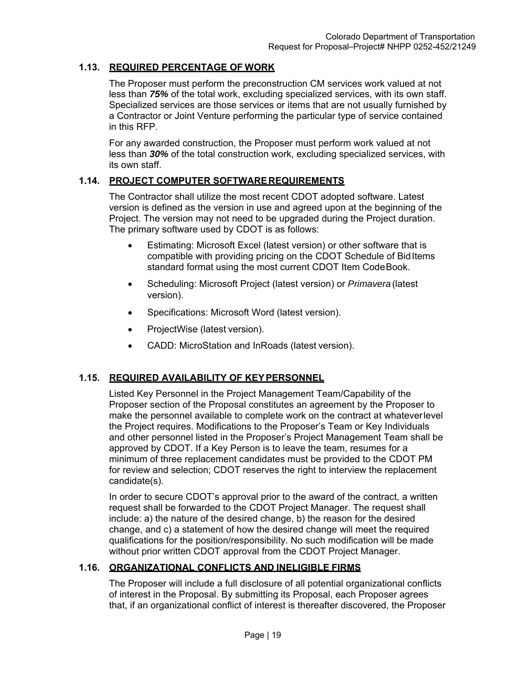## **1.13. REQUIRED PERCENTAGE OF WORK**

The Proposer must perform the preconstruction CM services work valued at not less than *75%* of the total work, excluding specialized services, with its own staff. Specialized services are those services or items that are not usually furnished by a Contractor or Joint Venture performing the particular type of service contained in this RFP.

For any awarded construction, the Proposer must perform work valued at not less than *30%* of the total construction work, excluding specialized services, with its own staff.

#### **1.14. PROJECT COMPUTER SOFTWARE REQUIREMENTS**

The Contractor shall utilize the most recent CDOT adopted software. Latest version is defined as the version in use and agreed upon at the beginning of the Project. The version may not need to be upgraded during the Project duration. The primary software used by CDOT is as follows:

- Estimating: Microsoft Excel (latest version) or other software that is compatible with providing pricing on the CDOT Schedule of Bid Items standard format using the most current CDOT Item Code Book.
- Scheduling: Microsoft Project (latest version) or *Primavera* (latest version).
- Specifications: Microsoft Word (latest version).
- ProjectWise (latest version).
- CADD: MicroStation and InRoads (latest version).

# **1.15. REQUIRED AVAILABILITY OF KEY PERSONNEL**

Listed Key Personnel in the Project Management Team/Capability of the Proposer section of the Proposal constitutes an agreement by the Proposer to make the personnel available to complete work on the contract at whatever level the Project requires. Modifications to the Proposer's Team or Key Individuals and other personnel listed in the Proposer's Project Management Team shall be approved by CDOT. If a Key Person is to leave the team, resumes for a minimum of three replacement candidates must be provided to the CDOT PM for review and selection; CDOT reserves the right to interview the replacement candidate(s).

In order to secure CDOT's approval prior to the award of the contract, a written request shall be forwarded to the CDOT Project Manager. The request shall include: a) the nature of the desired change, b) the reason for the desired change, and c) a statement of how the desired change will meet the required qualifications for the position/responsibility. No such modification will be made without prior written CDOT approval from the CDOT Project Manager.

# **1.16. ORGANIZATIONAL CONFLICTS AND INELIGIBLE FIRMS**

The Proposer will include a full disclosure of all potential organizational conflicts of interest in the Proposal. By submitting its Proposal, each Proposer agrees that, if an organizational conflict of interest is thereafter discovered, the Proposer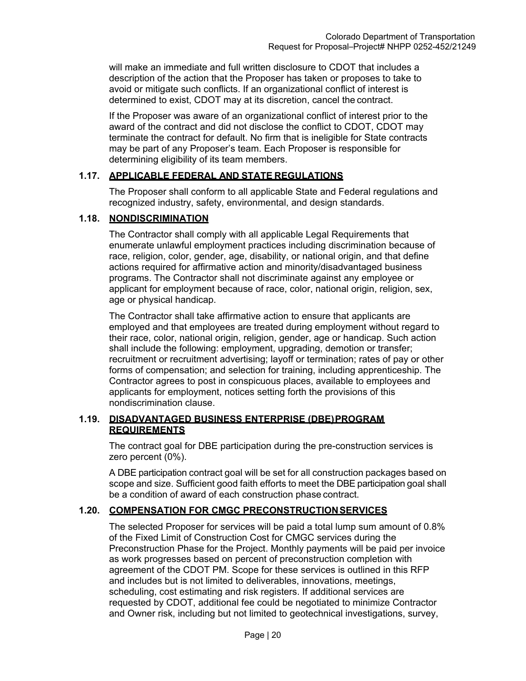will make an immediate and full written disclosure to CDOT that includes a description of the action that the Proposer has taken or proposes to take to avoid or mitigate such conflicts. If an organizational conflict of interest is determined to exist, CDOT may at its discretion, cancel the contract.

If the Proposer was aware of an organizational conflict of interest prior to the award of the contract and did not disclose the conflict to CDOT, CDOT may terminate the contract for default. No firm that is ineligible for State contracts may be part of any Proposer's team. Each Proposer is responsible for determining eligibility of its team members.

#### **1.17. APPLICABLE FEDERAL AND STATE REGULATIONS**

The Proposer shall conform to all applicable State and Federal regulations and recognized industry, safety, environmental, and design standards.

#### **1.18. NONDISCRIMINATION**

The Contractor shall comply with all applicable Legal Requirements that enumerate unlawful employment practices including discrimination because of race, religion, color, gender, age, disability, or national origin, and that define actions required for affirmative action and minority/disadvantaged business programs. The Contractor shall not discriminate against any employee or applicant for employment because of race, color, national origin, religion, sex, age or physical handicap.

The Contractor shall take affirmative action to ensure that applicants are employed and that employees are treated during employment without regard to their race, color, national origin, religion, gender, age or handicap. Such action shall include the following: employment, upgrading, demotion or transfer; recruitment or recruitment advertising; layoff or termination; rates of pay or other forms of compensation; and selection for training, including apprenticeship. The Contractor agrees to post in conspicuous places, available to employees and applicants for employment, notices setting forth the provisions of this nondiscrimination clause.

#### **1.19. DISADVANTAGED BUSINESS ENTERPRISE (DBE) PROGRAM REQUIREMENTS**

The contract goal for DBE participation during the pre-construction services is zero percent (0%).

A DBE participation contract goal will be set for all construction packages based on scope and size. Sufficient good faith efforts to meet the DBE participation goal shall be a condition of award of each construction phase contract.

## **1.20. COMPENSATION FOR CMGC PRECONSTRUCTION SERVICES**

The selected Proposer for services will be paid a total lump sum amount of 0.8% of the Fixed Limit of Construction Cost for CMGC services during the Preconstruction Phase for the Project. Monthly payments will be paid per invoice as work progresses based on percent of preconstruction completion with agreement of the CDOT PM. Scope for these services is outlined in this RFP and includes but is not limited to deliverables, innovations, meetings, scheduling, cost estimating and risk registers. If additional services are requested by CDOT, additional fee could be negotiated to minimize Contractor and Owner risk, including but not limited to geotechnical investigations, survey,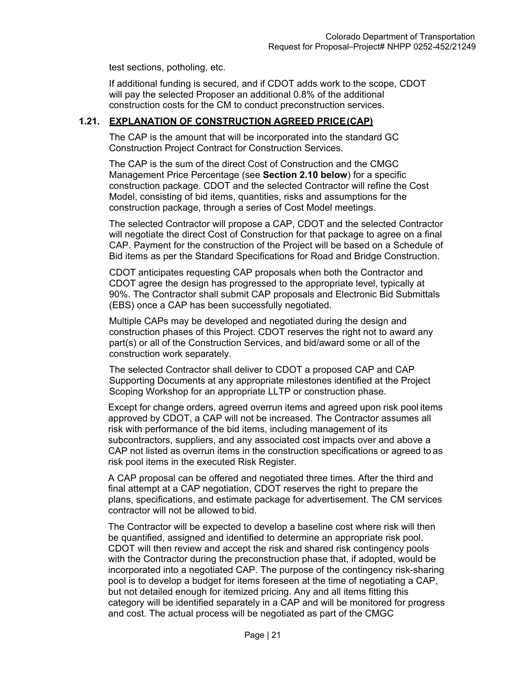test sections, potholing, etc.

If additional funding is secured, and if CDOT adds work to the scope, CDOT will pay the selected Proposer an additional 0.8% of the additional construction costs for the CM to conduct preconstruction services.

#### **1.21. EXPLANATION OF CONSTRUCTION AGREED PRICE (CAP)**

The CAP is the amount that will be incorporated into the standard GC Construction Project Contract for Construction Services.

The CAP is the sum of the direct Cost of Construction and the CMGC Management Price Percentage (see **Section 2.10 below**) for a specific construction package. CDOT and the selected Contractor will refine the Cost Model, consisting of bid items, quantities, risks and assumptions for the construction package, through a series of Cost Model meetings.

The selected Contractor will propose a CAP, CDOT and the selected Contractor will negotiate the direct Cost of Construction for that package to agree on a final CAP. Payment for the construction of the Project will be based on a Schedule of Bid items as per the Standard Specifications for Road and Bridge Construction.

CDOT anticipates requesting CAP proposals when both the Contractor and CDOT agree the design has progressed to the appropriate level, typically at 90%. The Contractor shall submit CAP proposals and Electronic Bid Submittals (EBS) once a CAP has been successfully negotiated.

Multiple CAPs may be developed and negotiated during the design and construction phases of this Project. CDOT reserves the right not to award any part(s) or all of the Construction Services, and bid/award some or all of the construction work separately.

The selected Contractor shall deliver to CDOT a proposed CAP and CAP Supporting Documents at any appropriate milestones identified at the Project Scoping Workshop for an appropriate LLTP or construction phase.

Except for change orders, agreed overrun items and agreed upon risk pool items approved by CDOT, a CAP will not be increased. The Contractor assumes all risk with performance of the bid items, including management of its subcontractors, suppliers, and any associated cost impacts over and above a CAP not listed as overrun items in the construction specifications or agreed to as risk pool items in the executed Risk Register.

A CAP proposal can be offered and negotiated three times. After the third and final attempt at a CAP negotiation, CDOT reserves the right to prepare the plans, specifications, and estimate package for advertisement. The CM services contractor will not be allowed to bid.

The Contractor will be expected to develop a baseline cost where risk will then be quantified, assigned and identified to determine an appropriate risk pool. CDOT will then review and accept the risk and shared risk contingency pools with the Contractor during the preconstruction phase that, if adopted, would be incorporated into a negotiated CAP. The purpose of the contingency risk-sharing pool is to develop a budget for items foreseen at the time of negotiating a CAP, but not detailed enough for itemized pricing. Any and all items fitting this category will be identified separately in a CAP and will be monitored for progress and cost. The actual process will be negotiated as part of the CMGC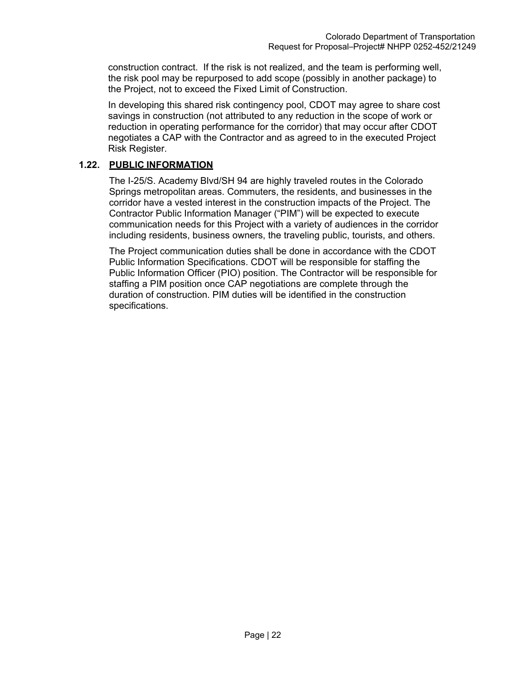construction contract. If the risk is not realized, and the team is performing well, the risk pool may be repurposed to add scope (possibly in another package) to the Project, not to exceed the Fixed Limit of Construction.

In developing this shared risk contingency pool, CDOT may agree to share cost savings in construction (not attributed to any reduction in the scope of work or reduction in operating performance for the corridor) that may occur after CDOT negotiates a CAP with the Contractor and as agreed to in the executed Project Risk Register.

## **1.22. PUBLIC INFORMATION**

The I-25/S. Academy Blvd/SH 94 are highly traveled routes in the Colorado Springs metropolitan areas. Commuters, the residents, and businesses in the corridor have a vested interest in the construction impacts of the Project. The Contractor Public Information Manager ("PIM") will be expected to execute communication needs for this Project with a variety of audiences in the corridor including residents, business owners, the traveling public, tourists, and others.

The Project communication duties shall be done in accordance with the CDOT Public Information Specifications. CDOT will be responsible for staffing the Public Information Officer (PIO) position. The Contractor will be responsible for staffing a PIM position once CAP negotiations are complete through the duration of construction. PIM duties will be identified in the construction specifications.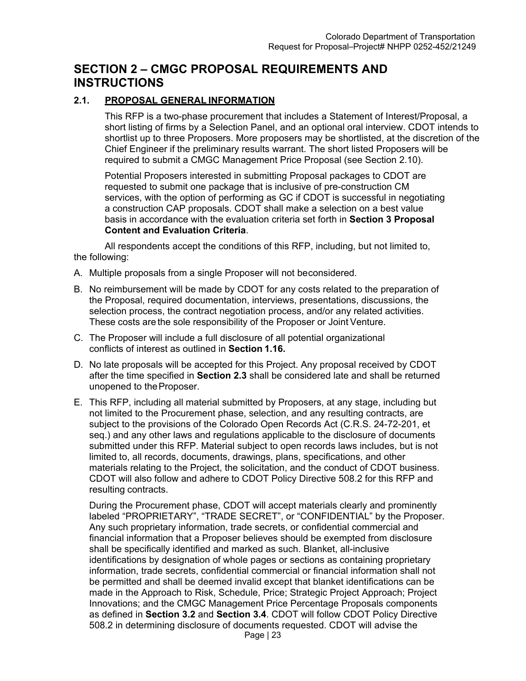# **SECTION 2 – CMGC PROPOSAL REQUIREMENTS AND INSTRUCTIONS**

## **2.1. PROPOSAL GENERAL INFORMATION**

This RFP is a two-phase procurement that includes a Statement of Interest/Proposal, a short listing of firms by a Selection Panel, and an optional oral interview. CDOT intends to shortlist up to three Proposers. More proposers may be shortlisted, at the discretion of the Chief Engineer if the preliminary results warrant. The short listed Proposers will be required to submit a CMGC Management Price Proposal (see Section 2.10).

Potential Proposers interested in submitting Proposal packages to CDOT are requested to submit one package that is inclusive of pre-construction CM services, with the option of performing as GC if CDOT is successful in negotiating a construction CAP proposals. CDOT shall make a selection on a best value basis in accordance with the evaluation criteria set forth in **Section 3 Proposal Content and Evaluation Criteria**.

All respondents accept the conditions of this RFP, including, but not limited to, the following:

- A. Multiple proposals from a single Proposer will not be considered.
- B. No reimbursement will be made by CDOT for any costs related to the preparation of the Proposal, required documentation, interviews, presentations, discussions, the selection process, the contract negotiation process, and/or any related activities. These costs are the sole responsibility of the Proposer or Joint Venture.
- C. The Proposer will include a full disclosure of all potential organizational conflicts of interest as outlined in **Section 1.16.**
- D. No late proposals will be accepted for this Project. Any proposal received by CDOT after the time specified in **Section 2.3** shall be considered late and shall be returned unopened to the Proposer.
- E. This RFP, including all material submitted by Proposers, at any stage, including but not limited to the Procurement phase, selection, and any resulting contracts, are subject to the provisions of the Colorado Open Records Act (C.R.S. 24-72-201, et seq.) and any other laws and regulations applicable to the disclosure of documents submitted under this RFP. Material subject to open records laws includes, but is not limited to, all records, documents, drawings, plans, specifications, and other materials relating to the Project, the solicitation, and the conduct of CDOT business. CDOT will also follow and adhere to CDOT Policy Directive 508.2 for this RFP and resulting contracts.

During the Procurement phase, CDOT will accept materials clearly and prominently labeled "PROPRIETARY", "TRADE SECRET", or "CONFIDENTIAL" by the Proposer. Any such proprietary information, trade secrets, or confidential commercial and financial information that a Proposer believes should be exempted from disclosure shall be specifically identified and marked as such. Blanket, all-inclusive identifications by designation of whole pages or sections as containing proprietary information, trade secrets, confidential commercial or financial information shall not be permitted and shall be deemed invalid except that blanket identifications can be made in the Approach to Risk, Schedule, Price; Strategic Project Approach; Project Innovations; and the CMGC Management Price Percentage Proposals components as defined in **Section 3.2** and **Section 3.4**. CDOT will follow CDOT Policy Directive 508.2 in determining disclosure of documents requested. CDOT will advise the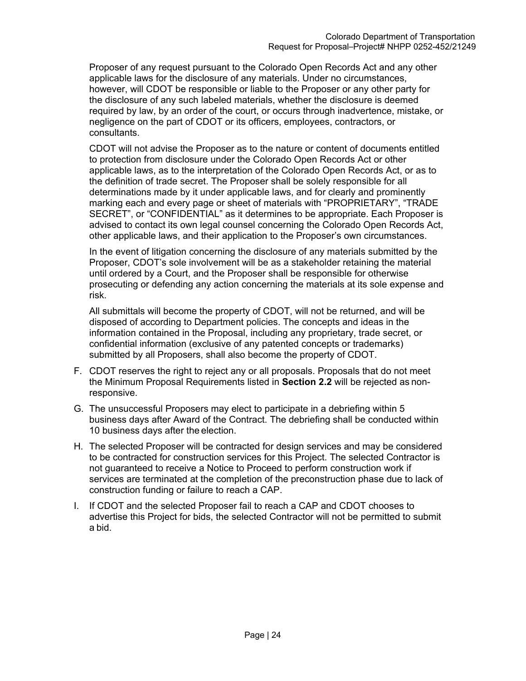Proposer of any request pursuant to the Colorado Open Records Act and any other applicable laws for the disclosure of any materials. Under no circumstances, however, will CDOT be responsible or liable to the Proposer or any other party for the disclosure of any such labeled materials, whether the disclosure is deemed required by law, by an order of the court, or occurs through inadvertence, mistake, or negligence on the part of CDOT or its officers, employees, contractors, or consultants.

CDOT will not advise the Proposer as to the nature or content of documents entitled to protection from disclosure under the Colorado Open Records Act or other applicable laws, as to the interpretation of the Colorado Open Records Act, or as to the definition of trade secret. The Proposer shall be solely responsible for all determinations made by it under applicable laws, and for clearly and prominently marking each and every page or sheet of materials with "PROPRIETARY", "TRADE SECRET", or "CONFIDENTIAL" as it determines to be appropriate. Each Proposer is advised to contact its own legal counsel concerning the Colorado Open Records Act, other applicable laws, and their application to the Proposer's own circumstances.

In the event of litigation concerning the disclosure of any materials submitted by the Proposer, CDOT's sole involvement will be as a stakeholder retaining the material until ordered by a Court, and the Proposer shall be responsible for otherwise prosecuting or defending any action concerning the materials at its sole expense and risk.

All submittals will become the property of CDOT, will not be returned, and will be disposed of according to Department policies. The concepts and ideas in the information contained in the Proposal, including any proprietary, trade secret, or confidential information (exclusive of any patented concepts or trademarks) submitted by all Proposers, shall also become the property of CDOT.

- F. CDOT reserves the right to reject any or all proposals. Proposals that do not meet the Minimum Proposal Requirements listed in **Section 2.2** will be rejected as nonresponsive.
- G. The unsuccessful Proposers may elect to participate in a debriefing within 5 business days after Award of the Contract. The debriefing shall be conducted within 10 business days after the election.
- H. The selected Proposer will be contracted for design services and may be considered to be contracted for construction services for this Project. The selected Contractor is not guaranteed to receive a Notice to Proceed to perform construction work if services are terminated at the completion of the preconstruction phase due to lack of construction funding or failure to reach a CAP.
- I. If CDOT and the selected Proposer fail to reach a CAP and CDOT chooses to advertise this Project for bids, the selected Contractor will not be permitted to submit a bid.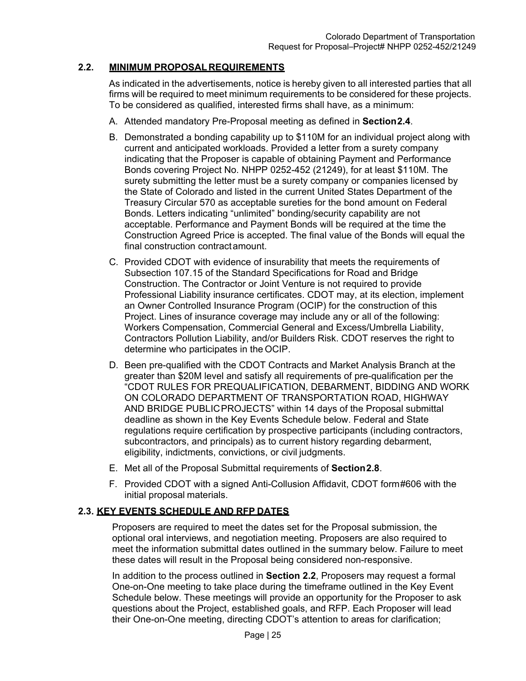## **2.2. MINIMUM PROPOSAL REQUIREMENTS**

As indicated in the advertisements, notice is hereby given to all interested parties that all firms will be required to meet minimum requirements to be considered for these projects. To be considered as qualified, interested firms shall have, as a minimum:

- A. Attended mandatory Pre-Proposal meeting as defined in **Section 2.4**.
- B. Demonstrated a bonding capability up to \$110M for an individual project along with current and anticipated workloads. Provided a letter from a surety company indicating that the Proposer is capable of obtaining Payment and Performance Bonds covering Project No. NHPP 0252-452 (21249), for at least \$110M. The surety submitting the letter must be a surety company or companies licensed by the State of Colorado and listed in the current United States Department of the Treasury Circular 570 as acceptable sureties for the bond amount on Federal Bonds. Letters indicating "unlimited" bonding/security capability are not acceptable. Performance and Payment Bonds will be required at the time the Construction Agreed Price is accepted. The final value of the Bonds will equal the final construction contract amount.
- C. Provided CDOT with evidence of insurability that meets the requirements of Subsection 107.15 of the Standard Specifications for Road and Bridge Construction. The Contractor or Joint Venture is not required to provide Professional Liability insurance certificates. CDOT may, at its election, implement an Owner Controlled Insurance Program (OCIP) for the construction of this Project. Lines of insurance coverage may include any or all of the following: Workers Compensation, Commercial General and Excess/Umbrella Liability, Contractors Pollution Liability, and/or Builders Risk. CDOT reserves the right to determine who participates in the OCIP.
- D. Been pre-qualified with the CDOT Contracts and Market Analysis Branch at the greater than \$20M level and satisfy all requirements of pre-qualification per the "CDOT RULES FOR PREQUALIFICATION, DEBARMENT, BIDDING AND WORK ON COLORADO DEPARTMENT OF TRANSPORTATION ROAD, HIGHWAY AND BRIDGE PUBLIC PROJECTS" within 14 days of the Proposal submittal deadline as shown in the Key Events Schedule below. Federal and State regulations require certification by prospective participants (including contractors, subcontractors, and principals) as to current history regarding debarment, eligibility, indictments, convictions, or civil judgments.
- E. Met all of the Proposal Submittal requirements of **Section 2.8**.
- F. Provided CDOT with a signed Anti-Collusion Affidavit, CDOT form #606 with the initial proposal materials.

## **2.3. KEY EVENTS SCHEDULE AND RFP DATES**

Proposers are required to meet the dates set for the Proposal submission, the optional oral interviews, and negotiation meeting. Proposers are also required to meet the information submittal dates outlined in the summary below. Failure to meet these dates will result in the Proposal being considered non-responsive.

In addition to the process outlined in **Section 2.2**, Proposers may request a formal One-on-One meeting to take place during the timeframe outlined in the Key Event Schedule below. These meetings will provide an opportunity for the Proposer to ask questions about the Project, established goals, and RFP. Each Proposer will lead their One-on-One meeting, directing CDOT's attention to areas for clarification;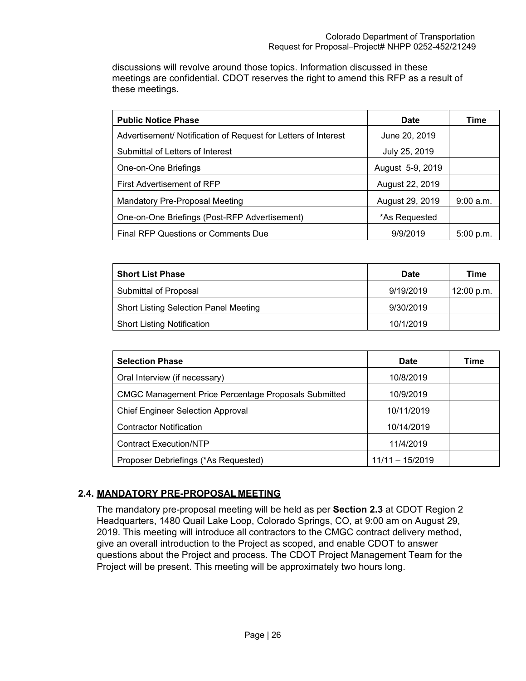discussions will revolve around those topics. Information discussed in these meetings are confidential. CDOT reserves the right to amend this RFP as a result of these meetings.

| <b>Public Notice Phase</b>                                     | <b>Date</b>      | Time        |
|----------------------------------------------------------------|------------------|-------------|
| Advertisement/ Notification of Request for Letters of Interest | June 20, 2019    |             |
| Submittal of Letters of Interest                               | July 25, 2019    |             |
| One-on-One Briefings                                           | August 5-9, 2019 |             |
| First Advertisement of RFP                                     | August 22, 2019  |             |
| Mandatory Pre-Proposal Meeting                                 | August 29, 2019  | 9:00 a.m.   |
| One-on-One Briefings (Post-RFP Advertisement)                  | *As Requested    |             |
| <b>Final RFP Questions or Comments Due</b>                     | 9/9/2019         | $5:00$ p.m. |

| <b>Short List Phase</b>                      | <b>Date</b> | Time       |
|----------------------------------------------|-------------|------------|
| Submittal of Proposal                        | 9/19/2019   | 12:00 p.m. |
| <b>Short Listing Selection Panel Meeting</b> | 9/30/2019   |            |
| <b>Short Listing Notification</b>            | 10/1/2019   |            |

| <b>Selection Phase</b>                                      | Date              | Time |
|-------------------------------------------------------------|-------------------|------|
| Oral Interview (if necessary)                               | 10/8/2019         |      |
| <b>CMGC Management Price Percentage Proposals Submitted</b> | 10/9/2019         |      |
| <b>Chief Engineer Selection Approval</b>                    | 10/11/2019        |      |
| <b>Contractor Notification</b>                              | 10/14/2019        |      |
| <b>Contract Execution/NTP</b>                               | 11/4/2019         |      |
| Proposer Debriefings (*As Requested)                        | $11/11 - 15/2019$ |      |

# **2.4. MANDATORY PRE-PROPOSAL MEETING**

The mandatory pre-proposal meeting will be held as per **Section 2.3** at CDOT Region 2 Headquarters, 1480 Quail Lake Loop, Colorado Springs, CO, at 9:00 am on August 29, 2019. This meeting will introduce all contractors to the CMGC contract delivery method, give an overall introduction to the Project as scoped, and enable CDOT to answer questions about the Project and process. The CDOT Project Management Team for the Project will be present. This meeting will be approximately two hours long.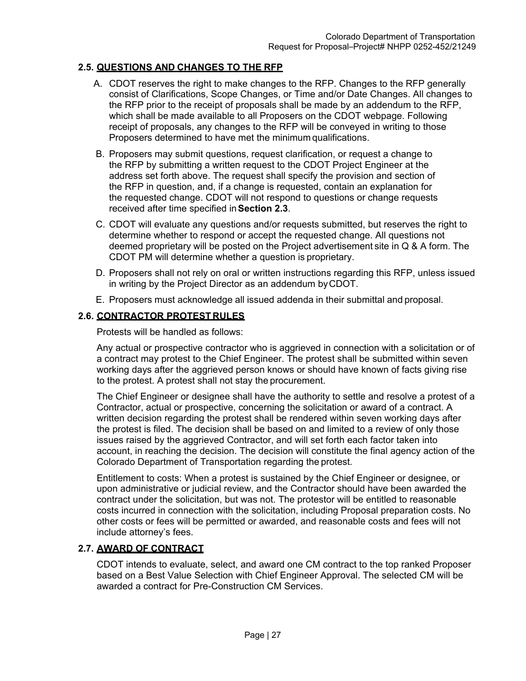## **2.5. QUESTIONS AND CHANGES TO THE RFP**

- A. CDOT reserves the right to make changes to the RFP. Changes to the RFP generally consist of Clarifications, Scope Changes, or Time and/or Date Changes. All changes to the RFP prior to the receipt of proposals shall be made by an addendum to the RFP, which shall be made available to all Proposers on the CDOT webpage. Following receipt of proposals, any changes to the RFP will be conveyed in writing to those Proposers determined to have met the minimum qualifications.
- B. Proposers may submit questions, request clarification, or request a change to the RFP by submitting a written request to the CDOT Project Engineer at the address set forth above. The request shall specify the provision and section of the RFP in question, and, if a change is requested, contain an explanation for the requested change. CDOT will not respond to questions or change requests received after time specified in **Section 2.3**.
- C. CDOT will evaluate any questions and/or requests submitted, but reserves the right to determine whether to respond or accept the requested change. All questions not deemed proprietary will be posted on the Project advertisement site in Q & A form. The CDOT PM will determine whether a question is proprietary.
- D. Proposers shall not rely on oral or written instructions regarding this RFP, unless issued in writing by the Project Director as an addendum by CDOT.
- E. Proposers must acknowledge all issued addenda in their submittal and proposal.

# **2.6. CONTRACTOR PROTEST RULES**

Protests will be handled as follows:

Any actual or prospective contractor who is aggrieved in connection with a solicitation or of a contract may protest to the Chief Engineer. The protest shall be submitted within seven working days after the aggrieved person knows or should have known of facts giving rise to the protest. A protest shall not stay the procurement.

The Chief Engineer or designee shall have the authority to settle and resolve a protest of a Contractor, actual or prospective, concerning the solicitation or award of a contract. A written decision regarding the protest shall be rendered within seven working days after the protest is filed. The decision shall be based on and limited to a review of only those issues raised by the aggrieved Contractor, and will set forth each factor taken into account, in reaching the decision. The decision will constitute the final agency action of the Colorado Department of Transportation regarding the protest.

Entitlement to costs: When a protest is sustained by the Chief Engineer or designee, or upon administrative or judicial review, and the Contractor should have been awarded the contract under the solicitation, but was not. The protestor will be entitled to reasonable costs incurred in connection with the solicitation, including Proposal preparation costs. No other costs or fees will be permitted or awarded, and reasonable costs and fees will not include attorney's fees.

## **2.7. AWARD OF CONTRACT**

CDOT intends to evaluate, select, and award one CM contract to the top ranked Proposer based on a Best Value Selection with Chief Engineer Approval. The selected CM will be awarded a contract for Pre-Construction CM Services.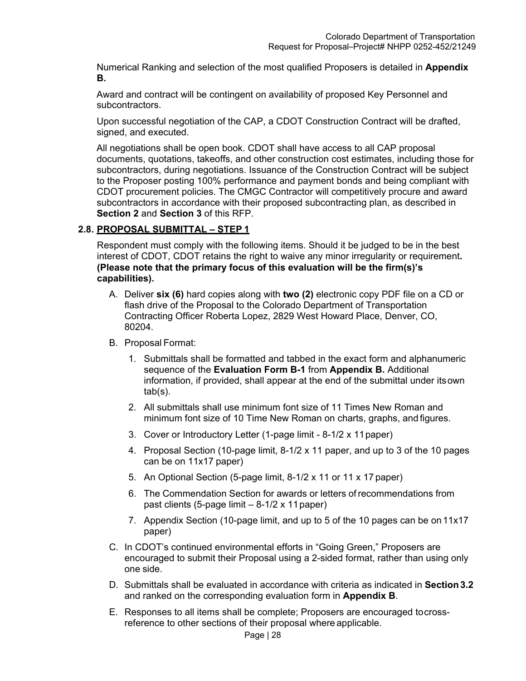Numerical Ranking and selection of the most qualified Proposers is detailed in **Appendix B.** 

Award and contract will be contingent on availability of proposed Key Personnel and subcontractors.

Upon successful negotiation of the CAP, a CDOT Construction Contract will be drafted, signed, and executed.

All negotiations shall be open book. CDOT shall have access to all CAP proposal documents, quotations, takeoffs, and other construction cost estimates, including those for subcontractors, during negotiations. Issuance of the Construction Contract will be subject to the Proposer posting 100% performance and payment bonds and being compliant with CDOT procurement policies. The CMGC Contractor will competitively procure and award subcontractors in accordance with their proposed subcontracting plan, as described in **Section 2** and **Section 3** of this RFP.

# **2.8. PROPOSAL SUBMITTAL – STEP 1**

Respondent must comply with the following items. Should it be judged to be in the best interest of CDOT, CDOT retains the right to waive any minor irregularity or requirement**. (Please note that the primary focus of this evaluation will be the firm(s)'s capabilities).** 

- A. Deliver **six (6)** hard copies along with **two (2)** electronic copy PDF file on a CD or flash drive of the Proposal to the Colorado Department of Transportation Contracting Officer Roberta Lopez, 2829 West Howard Place, Denver, CO, 80204.
- B. Proposal Format:
	- 1. Submittals shall be formatted and tabbed in the exact form and alphanumeric sequence of the **Evaluation Form B-1** from **Appendix B.** Additional information, if provided, shall appear at the end of the submittal under its own tab(s).
	- 2. All submittals shall use minimum font size of 11 Times New Roman and minimum font size of 10 Time New Roman on charts, graphs, and figures.
	- 3. Cover or Introductory Letter (1-page limit 8-1/2 x 11 paper)
	- 4. Proposal Section (10-page limit, 8-1/2 x 11 paper, and up to 3 of the 10 pages can be on 11x17 paper)
	- 5. An Optional Section (5-page limit, 8-1/2 x 11 or 11 x 17 paper)
	- 6. The Commendation Section for awards or letters of recommendations from past clients (5-page limit – 8-1/2 x 11 paper)
	- 7. Appendix Section (10-page limit, and up to 5 of the 10 pages can be on 11x17 paper)
- C. In CDOT's continued environmental efforts in "Going Green," Proposers are encouraged to submit their Proposal using a 2-sided format, rather than using only one side.
- D. Submittals shall be evaluated in accordance with criteria as indicated in **Section 3.2**  and ranked on the corresponding evaluation form in **Appendix B**.
- E. Responses to all items shall be complete; Proposers are encouraged to crossreference to other sections of their proposal where applicable.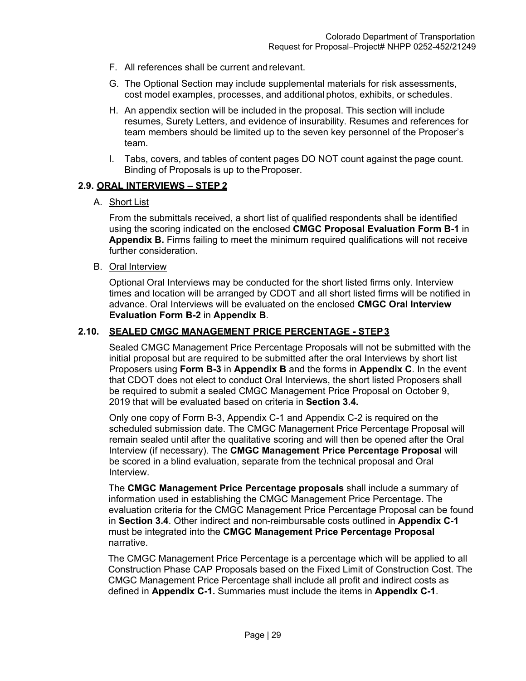- F. All references shall be current and relevant.
- G. The Optional Section may include supplemental materials for risk assessments, cost model examples, processes, and additional photos, exhibits, or schedules.
- H. An appendix section will be included in the proposal. This section will include resumes, Surety Letters, and evidence of insurability. Resumes and references for team members should be limited up to the seven key personnel of the Proposer's team.
- I. Tabs, covers, and tables of content pages DO NOT count against the page count. Binding of Proposals is up to the Proposer.

#### **2.9. ORAL INTERVIEWS – STEP 2**

A. Short List

From the submittals received, a short list of qualified respondents shall be identified using the scoring indicated on the enclosed **CMGC Proposal Evaluation Form B-1** in **Appendix B.** Firms failing to meet the minimum required qualifications will not receive further consideration.

B. Oral Interview

Optional Oral Interviews may be conducted for the short listed firms only. Interview times and location will be arranged by CDOT and all short listed firms will be notified in advance. Oral Interviews will be evaluated on the enclosed **CMGC Oral Interview Evaluation Form B-2** in **Appendix B**.

## **2.10. SEALED CMGC MANAGEMENT PRICE PERCENTAGE - STEP 3**

Sealed CMGC Management Price Percentage Proposals will not be submitted with the initial proposal but are required to be submitted after the oral Interviews by short list Proposers using **Form B-3** in **Appendix B** and the forms in **Appendix C**. In the event that CDOT does not elect to conduct Oral Interviews, the short listed Proposers shall be required to submit a sealed CMGC Management Price Proposal on October 9, 2019 that will be evaluated based on criteria in **Section 3.4.**

Only one copy of Form B-3, Appendix C-1 and Appendix C-2 is required on the scheduled submission date. The CMGC Management Price Percentage Proposal will remain sealed until after the qualitative scoring and will then be opened after the Oral Interview (if necessary). The **CMGC Management Price Percentage Proposal** will be scored in a blind evaluation, separate from the technical proposal and Oral Interview.

The **CMGC Management Price Percentage proposals** shall include a summary of information used in establishing the CMGC Management Price Percentage. The evaluation criteria for the CMGC Management Price Percentage Proposal can be found in **Section 3.4**. Other indirect and non-reimbursable costs outlined in **Appendix C-1**  must be integrated into the **CMGC Management Price Percentage Proposal**  narrative.

The CMGC Management Price Percentage is a percentage which will be applied to all Construction Phase CAP Proposals based on the Fixed Limit of Construction Cost. The CMGC Management Price Percentage shall include all profit and indirect costs as defined in **Appendix C-1.** Summaries must include the items in **Appendix C-1**.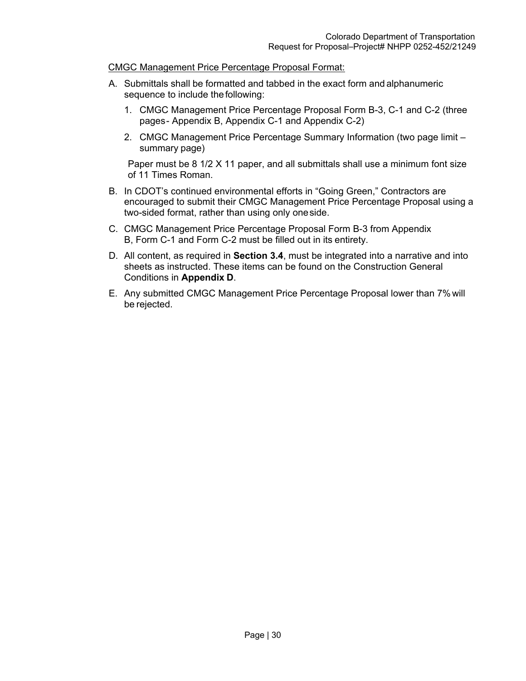#### CMGC Management Price Percentage Proposal Format:

- A. Submittals shall be formatted and tabbed in the exact form and alphanumeric sequence to include the following:
	- 1. CMGC Management Price Percentage Proposal Form B-3, C-1 and C-2 (three pages - Appendix B, Appendix C-1 and Appendix C-2)
	- 2. CMGC Management Price Percentage Summary Information (two page limit summary page)

Paper must be 8 1/2 X 11 paper, and all submittals shall use a minimum font size of 11 Times Roman.

- B. In CDOT's continued environmental efforts in "Going Green," Contractors are encouraged to submit their CMGC Management Price Percentage Proposal using a two-sided format, rather than using only one side.
- C. CMGC Management Price Percentage Proposal Form B-3 from Appendix B, Form C-1 and Form C-2 must be filled out in its entirety.
- D. All content, as required in **Section 3.4**, must be integrated into a narrative and into sheets as instructed. These items can be found on the Construction General Conditions in **Appendix D**.
- E. Any submitted CMGC Management Price Percentage Proposal lower than 7% will be rejected.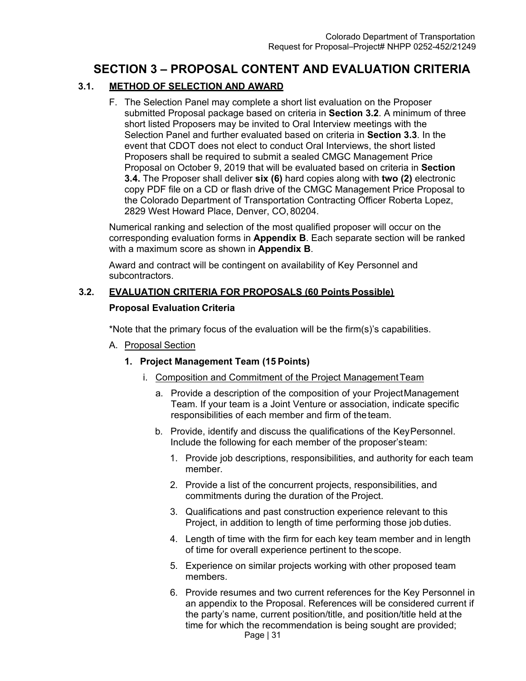# **SECTION 3 – PROPOSAL CONTENT AND EVALUATION CRITERIA**

# **3.1. METHOD OF SELECTION AND AWARD**

F. The Selection Panel may complete a short list evaluation on the Proposer submitted Proposal package based on criteria in **Section 3.2**. A minimum of three short listed Proposers may be invited to Oral Interview meetings with the Selection Panel and further evaluated based on criteria in **Section 3.3**. In the event that CDOT does not elect to conduct Oral Interviews, the short listed Proposers shall be required to submit a sealed CMGC Management Price Proposal on October 9, 2019 that will be evaluated based on criteria in **Section 3.4.** The Proposer shall deliver **six (6)** hard copies along with **two (2)** electronic copy PDF file on a CD or flash drive of the CMGC Management Price Proposal to the Colorado Department of Transportation Contracting Officer Roberta Lopez, 2829 West Howard Place, Denver, CO, 80204.

Numerical ranking and selection of the most qualified proposer will occur on the corresponding evaluation forms in **Appendix B**. Each separate section will be ranked with a maximum score as shown in **Appendix B**.

Award and contract will be contingent on availability of Key Personnel and subcontractors.

# **3.2. EVALUATION CRITERIA FOR PROPOSALS (60 Points Possible)**

## **Proposal Evaluation Criteria**

\*Note that the primary focus of the evaluation will be the firm(s)'s capabilities.

A. Proposal Section

# **1. Project Management Team (15 Points)**

- i. Composition and Commitment of the Project Management Team
	- a. Provide a description of the composition of your Project Management Team. If your team is a Joint Venture or association, indicate specific responsibilities of each member and firm of the team.
	- b. Provide, identify and discuss the qualifications of the Key Personnel. Include the following for each member of the proposer's team:
		- 1. Provide job descriptions, responsibilities, and authority for each team member.
		- 2. Provide a list of the concurrent projects, responsibilities, and commitments during the duration of the Project.
		- 3. Qualifications and past construction experience relevant to this Project, in addition to length of time performing those job duties.
		- 4. Length of time with the firm for each key team member and in length of time for overall experience pertinent to the scope.
		- 5. Experience on similar projects working with other proposed team members.
		- 6. Provide resumes and two current references for the Key Personnel in an appendix to the Proposal. References will be considered current if the party's name, current position/title, and position/title held at the time for which the recommendation is being sought are provided;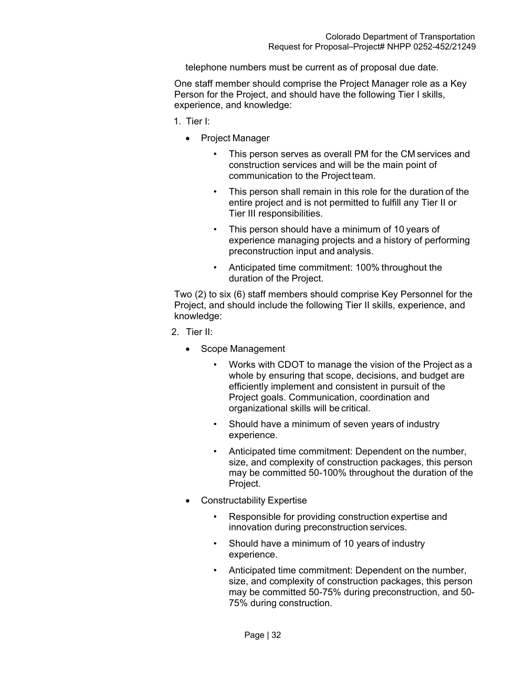telephone numbers must be current as of proposal due date.

One staff member should comprise the Project Manager role as a Key Person for the Project, and should have the following Tier I skills, experience, and knowledge:

- 1. Tier I:
	- Project Manager
		- This person serves as overall PM for the CM services and construction services and will be the main point of communication to the Project team.
		- This person shall remain in this role for the duration of the entire project and is not permitted to fulfill any Tier II or Tier III responsibilities.
		- This person should have a minimum of 10 years of experience managing projects and a history of performing preconstruction input and analysis.
		- Anticipated time commitment: 100% throughout the duration of the Project.

Two (2) to six (6) staff members should comprise Key Personnel for the Project, and should include the following Tier II skills, experience, and knowledge:

- 2. Tier II:
	- Scope Management
		- Works with CDOT to manage the vision of the Project as a whole by ensuring that scope, decisions, and budget are efficiently implement and consistent in pursuit of the Project goals. Communication, coordination and organizational skills will be critical.
		- Should have a minimum of seven years of industry experience.
		- Anticipated time commitment: Dependent on the number, size, and complexity of construction packages, this person may be committed 50-100% throughout the duration of the Project.
	- Constructability Expertise
		- Responsible for providing construction expertise and innovation during preconstruction services.
		- Should have a minimum of 10 years of industry experience.
		- Anticipated time commitment: Dependent on the number, size, and complexity of construction packages, this person may be committed 50-75% during preconstruction, and 50- 75% during construction.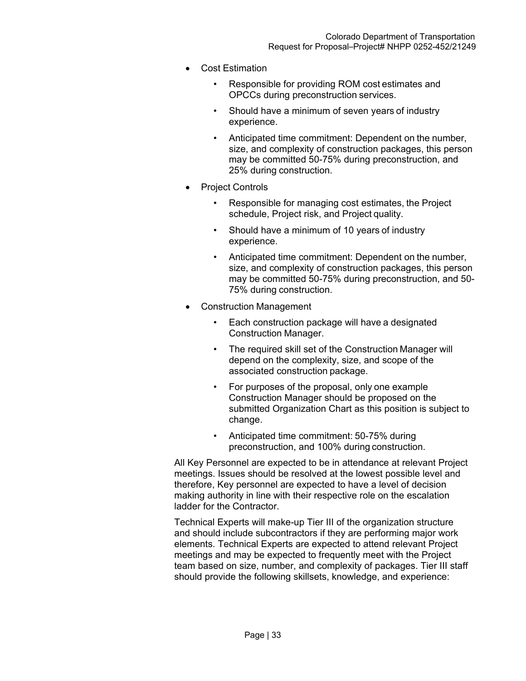- Cost Estimation
	- Responsible for providing ROM cost estimates and OPCCs during preconstruction services.
	- Should have a minimum of seven years of industry experience.
	- Anticipated time commitment: Dependent on the number, size, and complexity of construction packages, this person may be committed 50-75% during preconstruction, and 25% during construction.
- Project Controls
	- Responsible for managing cost estimates, the Project schedule, Project risk, and Project quality.
	- Should have a minimum of 10 years of industry experience.
	- Anticipated time commitment: Dependent on the number, size, and complexity of construction packages, this person may be committed 50-75% during preconstruction, and 50- 75% during construction.
- Construction Management
	- Each construction package will have a designated Construction Manager.
	- The required skill set of the Construction Manager will depend on the complexity, size, and scope of the associated construction package.
	- For purposes of the proposal, only one example Construction Manager should be proposed on the submitted Organization Chart as this position is subject to change.
	- Anticipated time commitment: 50-75% during preconstruction, and 100% during construction.

All Key Personnel are expected to be in attendance at relevant Project meetings. Issues should be resolved at the lowest possible level and therefore, Key personnel are expected to have a level of decision making authority in line with their respective role on the escalation ladder for the Contractor.

Technical Experts will make-up Tier III of the organization structure and should include subcontractors if they are performing major work elements. Technical Experts are expected to attend relevant Project meetings and may be expected to frequently meet with the Project team based on size, number, and complexity of packages. Tier III staff should provide the following skillsets, knowledge, and experience: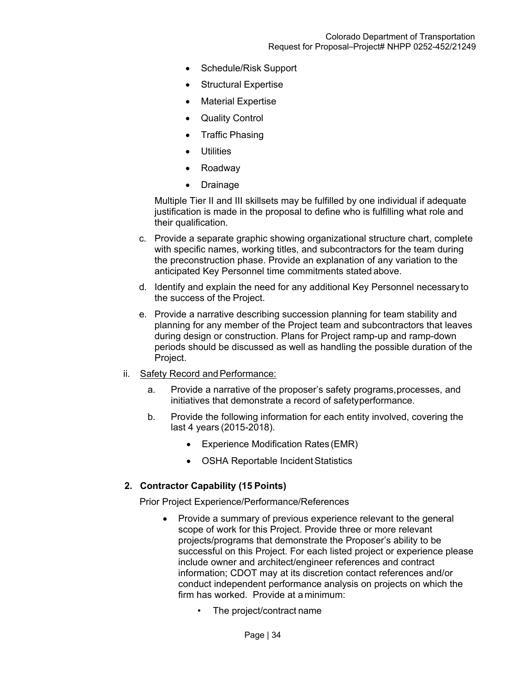- Schedule/Risk Support
- Structural Expertise
- Material Expertise
- Quality Control
- Traffic Phasing
- **Utilities**
- Roadway
- Drainage

Multiple Tier II and III skillsets may be fulfilled by one individual if adequate justification is made in the proposal to define who is fulfilling what role and their qualification.

- c. Provide a separate graphic showing organizational structure chart, complete with specific names, working titles, and subcontractors for the team during the preconstruction phase. Provide an explanation of any variation to the anticipated Key Personnel time commitments stated above.
- d. Identify and explain the need for any additional Key Personnel necessary to the success of the Project.
- e. Provide a narrative describing succession planning for team stability and planning for any member of the Project team and subcontractors that leaves during design or construction. Plans for Project ramp-up and ramp-down periods should be discussed as well as handling the possible duration of the Project.
- ii. Safety Record and Performance:
	- a. Provide a narrative of the proposer's safety programs, processes, and initiatives that demonstrate a record of safety performance.
	- b. Provide the following information for each entity involved, covering the last 4 years (2015-2018).
		- Experience Modification Rates (EMR)
		- OSHA Reportable Incident Statistics

## **2. Contractor Capability (15 Points)**

Prior Project Experience/Performance/References

- Provide a summary of previous experience relevant to the general scope of work for this Project. Provide three or more relevant projects/programs that demonstrate the Proposer's ability to be successful on this Project. For each listed project or experience please include owner and architect/engineer references and contract information; CDOT may at its discretion contact references and/or conduct independent performance analysis on projects on which the firm has worked. Provide at a minimum:
	- The project/contract name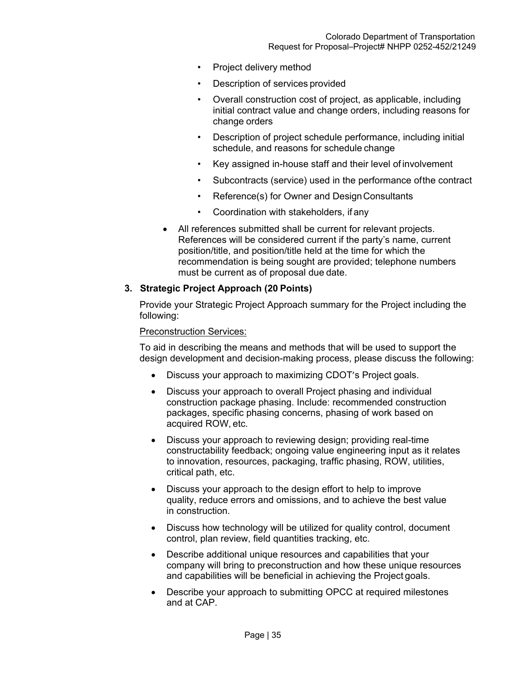- Project delivery method
- Description of services provided
- Overall construction cost of project, as applicable, including initial contract value and change orders, including reasons for change orders
- Description of project schedule performance, including initial schedule, and reasons for schedule change
- Key assigned in-house staff and their level of involvement
- Subcontracts (service) used in the performance of the contract
- Reference(s) for Owner and Design Consultants
- Coordination with stakeholders, if any
- All references submitted shall be current for relevant projects. References will be considered current if the party's name, current position/title, and position/title held at the time for which the recommendation is being sought are provided; telephone numbers must be current as of proposal due date.

## **3. Strategic Project Approach (20 Points)**

Provide your Strategic Project Approach summary for the Project including the following:

#### Preconstruction Services:

To aid in describing the means and methods that will be used to support the design development and decision-making process, please discuss the following:

- Discuss your approach to maximizing CDOT's Project goals.
- Discuss your approach to overall Project phasing and individual construction package phasing. Include: recommended construction packages, specific phasing concerns, phasing of work based on acquired ROW, etc.
- Discuss your approach to reviewing design; providing real-time constructability feedback; ongoing value engineering input as it relates to innovation, resources, packaging, traffic phasing, ROW, utilities, critical path, etc.
- Discuss your approach to the design effort to help to improve quality, reduce errors and omissions, and to achieve the best value in construction.
- Discuss how technology will be utilized for quality control, document control, plan review, field quantities tracking, etc.
- Describe additional unique resources and capabilities that your company will bring to preconstruction and how these unique resources and capabilities will be beneficial in achieving the Project goals.
- Describe your approach to submitting OPCC at required milestones and at CAP.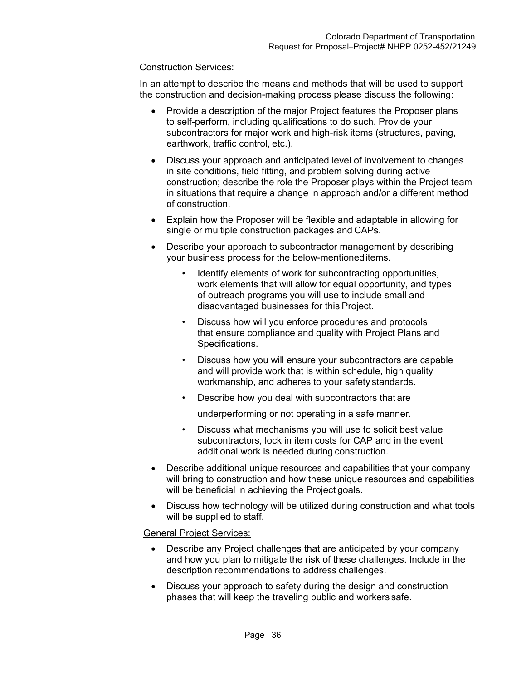#### Construction Services:

In an attempt to describe the means and methods that will be used to support the construction and decision-making process please discuss the following:

- Provide a description of the major Project features the Proposer plans to self-perform, including qualifications to do such. Provide your subcontractors for major work and high-risk items (structures, paving, earthwork, traffic control, etc.).
- Discuss your approach and anticipated level of involvement to changes in site conditions, field fitting, and problem solving during active construction; describe the role the Proposer plays within the Project team in situations that require a change in approach and/or a different method of construction.
- Explain how the Proposer will be flexible and adaptable in allowing for single or multiple construction packages and CAPs.
- Describe your approach to subcontractor management by describing your business process for the below-mentioned items.
	- Identify elements of work for subcontracting opportunities, work elements that will allow for equal opportunity, and types of outreach programs you will use to include small and disadvantaged businesses for this Project.
	- Discuss how will you enforce procedures and protocols that ensure compliance and quality with Project Plans and Specifications.
	- Discuss how you will ensure your subcontractors are capable and will provide work that is within schedule, high quality workmanship, and adheres to your safety standards.
	- Describe how you deal with subcontractors that are

underperforming or not operating in a safe manner.

- Discuss what mechanisms you will use to solicit best value subcontractors, lock in item costs for CAP and in the event additional work is needed during construction.
- Describe additional unique resources and capabilities that your company will bring to construction and how these unique resources and capabilities will be beneficial in achieving the Project goals.
- Discuss how technology will be utilized during construction and what tools will be supplied to staff.

#### General Project Services:

- Describe any Project challenges that are anticipated by your company and how you plan to mitigate the risk of these challenges. Include in the description recommendations to address challenges.
- Discuss your approach to safety during the design and construction phases that will keep the traveling public and workers safe.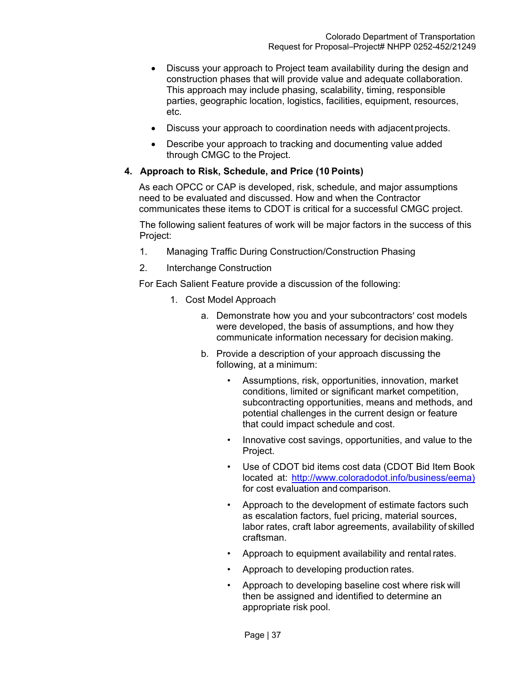- Discuss your approach to Project team availability during the design and construction phases that will provide value and adequate collaboration. This approach may include phasing, scalability, timing, responsible parties, geographic location, logistics, facilities, equipment, resources, etc.
- Discuss your approach to coordination needs with adjacent projects.
- Describe your approach to tracking and documenting value added through CMGC to the Project.

#### **4. Approach to Risk, Schedule, and Price (10 Points)**

As each OPCC or CAP is developed, risk, schedule, and major assumptions need to be evaluated and discussed. How and when the Contractor communicates these items to CDOT is critical for a successful CMGC project.

The following salient features of work will be major factors in the success of this Project:

- 1. Managing Traffic During Construction/Construction Phasing
- 2. Interchange Construction

For Each Salient Feature provide a discussion of the following:

- 1. Cost Model Approach
	- a. Demonstrate how you and your subcontractors' cost models were developed, the basis of assumptions, and how they communicate information necessary for decision making.
	- b. Provide a description of your approach discussing the following, at a minimum:
		- Assumptions, risk, opportunities, innovation, market conditions, limited or significant market competition, subcontracting opportunities, means and methods, and potential challenges in the current design or feature that could impact schedule and cost.
		- Innovative cost savings, opportunities, and value to the Project.
		- Use of CDOT bid items cost data (CDOT Bid Item Book located at: http://www.coloradodot.info/business/eema) for cost evaluation and comparison.
		- Approach to the development of estimate factors such as escalation factors, fuel pricing, material sources, labor rates, craft labor agreements, availability of skilled craftsman.
		- Approach to equipment availability and rental rates.
		- Approach to developing production rates.
		- Approach to developing baseline cost where risk will then be assigned and identified to determine an appropriate risk pool.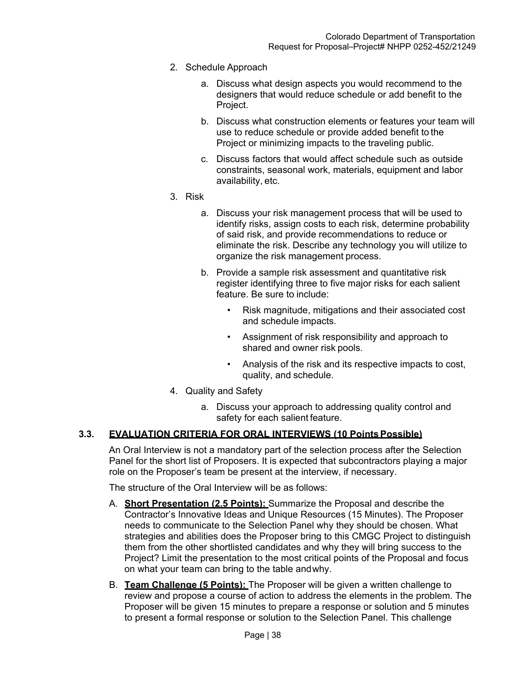- 2. Schedule Approach
	- a. Discuss what design aspects you would recommend to the designers that would reduce schedule or add benefit to the Project.
	- b. Discuss what construction elements or features your team will use to reduce schedule or provide added benefit to the Project or minimizing impacts to the traveling public.
	- c. Discuss factors that would affect schedule such as outside constraints, seasonal work, materials, equipment and labor availability, etc.
- 3. Risk
	- a. Discuss your risk management process that will be used to identify risks, assign costs to each risk, determine probability of said risk, and provide recommendations to reduce or eliminate the risk. Describe any technology you will utilize to organize the risk management process.
	- b. Provide a sample risk assessment and quantitative risk register identifying three to five major risks for each salient feature. Be sure to include:
		- Risk magnitude, mitigations and their associated cost and schedule impacts.
		- Assignment of risk responsibility and approach to shared and owner risk pools.
		- Analysis of the risk and its respective impacts to cost, quality, and schedule.
- 4. Quality and Safety
	- a. Discuss your approach to addressing quality control and safety for each salient feature.

## **3.3. EVALUATION CRITERIA FOR ORAL INTERVIEWS (10 Points Possible)**

An Oral Interview is not a mandatory part of the selection process after the Selection Panel for the short list of Proposers. It is expected that subcontractors playing a major role on the Proposer's team be present at the interview, if necessary.

The structure of the Oral Interview will be as follows:

- A. **Short Presentation (2.5 Points):** Summarize the Proposal and describe the Contractor's Innovative Ideas and Unique Resources (15 Minutes). The Proposer needs to communicate to the Selection Panel why they should be chosen. What strategies and abilities does the Proposer bring to this CMGC Project to distinguish them from the other shortlisted candidates and why they will bring success to the Project? Limit the presentation to the most critical points of the Proposal and focus on what your team can bring to the table and why.
- B. **Team Challenge (5 Points):** The Proposer will be given a written challenge to review and propose a course of action to address the elements in the problem. The Proposer will be given 15 minutes to prepare a response or solution and 5 minutes to present a formal response or solution to the Selection Panel. This challenge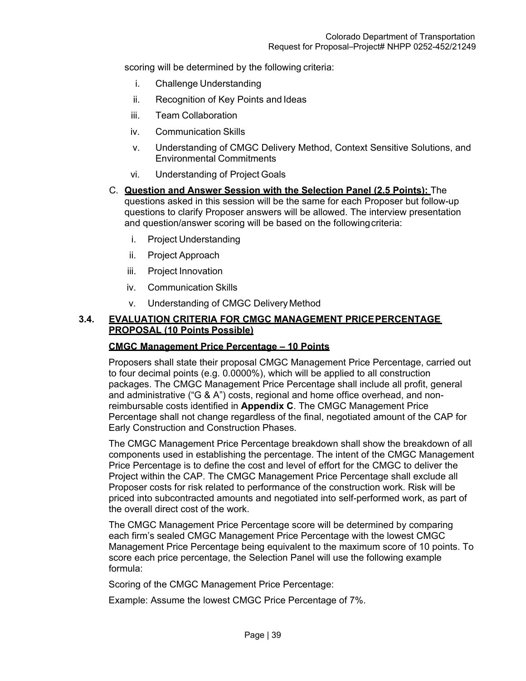scoring will be determined by the following criteria:

- i. Challenge Understanding
- ii. Recognition of Key Points and Ideas
- iii. Team Collaboration
- iv. Communication Skills
- v. Understanding of CMGC Delivery Method, Context Sensitive Solutions, and Environmental Commitments
- vi. Understanding of Project Goals
- C. **Question and Answer Session with the Selection Panel (2.5 Points):** The questions asked in this session will be the same for each Proposer but follow-up questions to clarify Proposer answers will be allowed. The interview presentation and question/answer scoring will be based on the following criteria:
	- i. Project Understanding
	- ii. Project Approach
	- iii. Project Innovation
	- iv. Communication Skills
	- v. Understanding of CMGC Delivery Method

## **3.4. EVALUATION CRITERIA FOR CMGC MANAGEMENT PRICE PERCENTAGE PROPOSAL (10 Points Possible)**

#### **CMGC Management Price Percentage – 10 Points**

Proposers shall state their proposal CMGC Management Price Percentage, carried out to four decimal points (e.g. 0.0000%), which will be applied to all construction packages. The CMGC Management Price Percentage shall include all profit, general and administrative ("G & A") costs, regional and home office overhead, and nonreimbursable costs identified in **Appendix C**. The CMGC Management Price Percentage shall not change regardless of the final, negotiated amount of the CAP for Early Construction and Construction Phases.

The CMGC Management Price Percentage breakdown shall show the breakdown of all components used in establishing the percentage. The intent of the CMGC Management Price Percentage is to define the cost and level of effort for the CMGC to deliver the Project within the CAP. The CMGC Management Price Percentage shall exclude all Proposer costs for risk related to performance of the construction work. Risk will be priced into subcontracted amounts and negotiated into self-performed work, as part of the overall direct cost of the work.

The CMGC Management Price Percentage score will be determined by comparing each firm's sealed CMGC Management Price Percentage with the lowest CMGC Management Price Percentage being equivalent to the maximum score of 10 points. To score each price percentage, the Selection Panel will use the following example formula:

Scoring of the CMGC Management Price Percentage:

Example: Assume the lowest CMGC Price Percentage of 7%.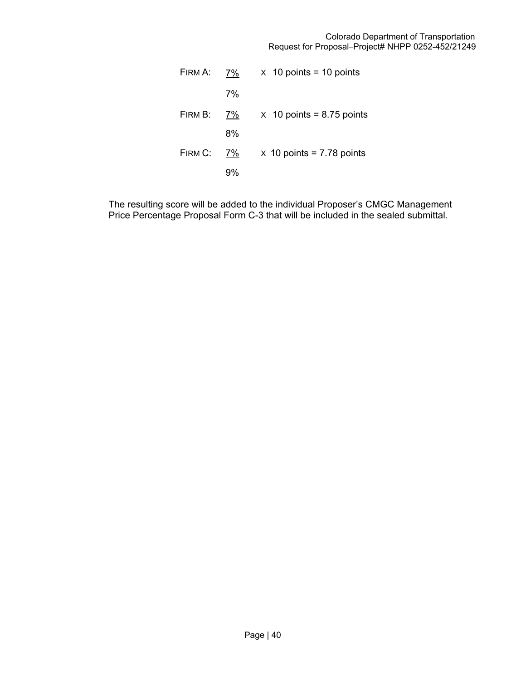#### Colorado Department of Transportation Request for Proposal–Project# NHPP 0252-452/21249

| FIRM A: | 7% | $\times$ 10 points = 10 points   |
|---------|----|----------------------------------|
|         | 7% |                                  |
| FIRM B: | 7% | $\times$ 10 points = 8.75 points |
|         | 8% |                                  |
| FIRM C: | 7% | $\times$ 10 points = 7.78 points |
|         |    |                                  |

The resulting score will be added to the individual Proposer's CMGC Management Price Percentage Proposal Form C-3 that will be included in the sealed submittal.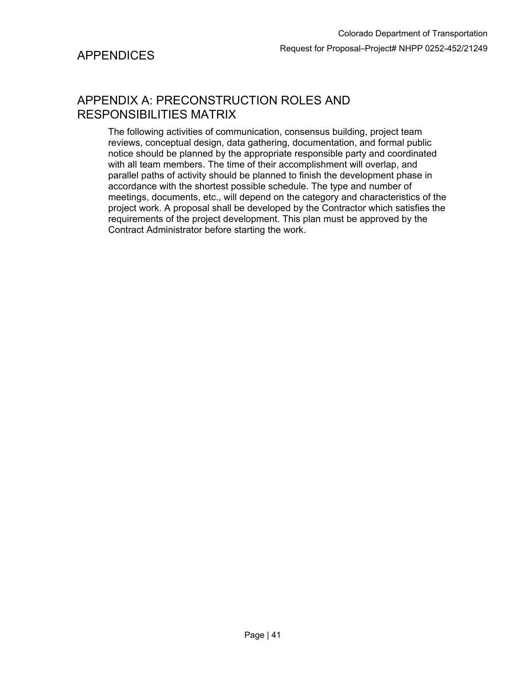# APPENDIX A: PRECONSTRUCTION ROLES AND RESPONSIBILITIES MATRIX

The following activities of communication, consensus building, project team reviews, conceptual design, data gathering, documentation, and formal public notice should be planned by the appropriate responsible party and coordinated with all team members. The time of their accomplishment will overlap, and parallel paths of activity should be planned to finish the development phase in accordance with the shortest possible schedule. The type and number of meetings, documents, etc., will depend on the category and characteristics of the project work. A proposal shall be developed by the Contractor which satisfies the requirements of the project development. This plan must be approved by the Contract Administrator before starting the work.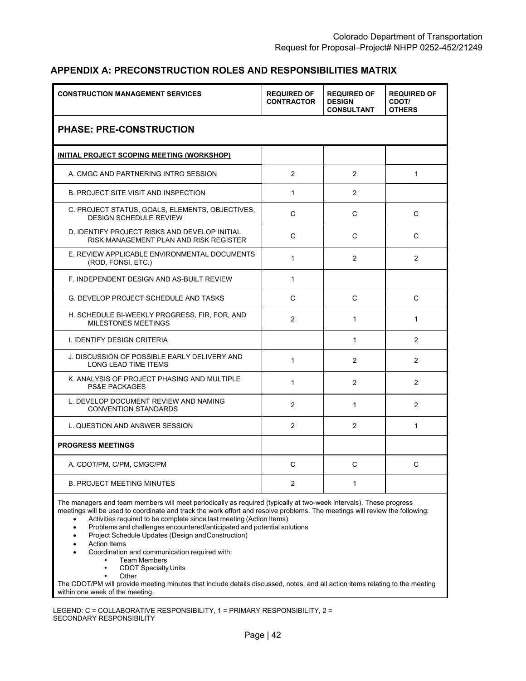#### **APPENDIX A: PRECONSTRUCTION ROLES AND RESPONSIBILITIES MATRIX**

| <b>CONSTRUCTION MANAGEMENT SERVICES</b>                                                 | <b>REQUIRED OF</b><br><b>CONTRACTOR</b> | <b>REQUIRED OF</b><br><b>DESIGN</b><br><b>CONSULTANT</b> | <b>REQUIRED OF</b><br>CDOT/<br><b>OTHERS</b> |
|-----------------------------------------------------------------------------------------|-----------------------------------------|----------------------------------------------------------|----------------------------------------------|
| <b>PHASE: PRE-CONSTRUCTION</b>                                                          |                                         |                                                          |                                              |
| <u>INITIAL PROJECT SCOPING MEETING (WORKSHOP)</u>                                       |                                         |                                                          |                                              |
| A. CMGC AND PARTNERING INTRO SESSION                                                    | 2                                       | $\overline{2}$                                           | $\mathbf{1}$                                 |
| <b>B. PROJECT SITE VISIT AND INSPECTION</b>                                             | $\mathbf{1}$                            | $\overline{2}$                                           |                                              |
| C. PROJECT STATUS, GOALS, ELEMENTS, OBJECTIVES,<br><b>DESIGN SCHEDULE REVIEW</b>        | C                                       | C                                                        | C                                            |
| D. IDENTIFY PROJECT RISKS AND DEVELOP INITIAL<br>RISK MANAGEMENT PLAN AND RISK REGISTER | C                                       | C                                                        | C                                            |
| E. REVIEW APPLICABLE ENVIRONMENTAL DOCUMENTS<br>(ROD, FONSI, ETC.)                      | $\mathbf{1}$                            | $\mathcal{P}$                                            | $\mathcal{P}$                                |
| F. INDEPENDENT DESIGN AND AS-BUILT REVIEW                                               | $\mathbf{1}$                            |                                                          |                                              |
| <b>G. DEVELOP PROJECT SCHEDULE AND TASKS</b>                                            | C                                       | C                                                        | C                                            |
| H. SCHEDULE BI-WEEKLY PROGRESS, FIR, FOR, AND<br><b>MILESTONES MEETINGS</b>             | $\overline{2}$                          | $\mathbf{1}$                                             | $\mathbf{1}$                                 |
| <b>I. IDENTIFY DESIGN CRITERIA</b>                                                      |                                         | $\mathbf{1}$                                             | 2                                            |
| J. DISCUSSION OF POSSIBLE EARLY DELIVERY AND<br><b>LONG LEAD TIME ITEMS</b>             | $\mathbf{1}$                            | 2                                                        | 2                                            |
| K. ANALYSIS OF PROJECT PHASING AND MULTIPLE<br><b>PS&amp;E PACKAGES</b>                 | $\mathbf{1}$                            | $\overline{2}$                                           | 2                                            |
| L. DEVELOP DOCUMENT REVIEW AND NAMING<br><b>CONVENTION STANDARDS</b>                    | 2                                       | $\mathbf{1}$                                             | 2                                            |
| L. QUESTION AND ANSWER SESSION                                                          | $\overline{2}$                          | 2                                                        | $\mathbf{1}$                                 |
| <b>PROGRESS MEETINGS</b>                                                                |                                         |                                                          |                                              |
| A. CDOT/PM, C/PM, CMGC/PM                                                               | $\mathsf{C}$                            | $\mathsf{C}$                                             | C                                            |
| <b>B. PROJECT MEETING MINUTES</b>                                                       | $\overline{2}$                          | 1                                                        |                                              |

The managers and team members will meet periodically as required (typically at two-week intervals). These progress meetings will be used to coordinate and track the work effort and resolve problems. The meetings will review the following:

Activities required to be complete since last meeting (Action Items)

Problems and challenges encountered/anticipated and potential solutions

- Project Schedule Updates (Design and Construction)
- Action Items

Coordination and communication required with:

- Team Members<br>• CDOT Specialty
	- CDOT Specialty Units
	- **Other**

The CDOT/PM will provide meeting minutes that include details discussed, notes, and all action items relating to the meeting within one week of the meeting.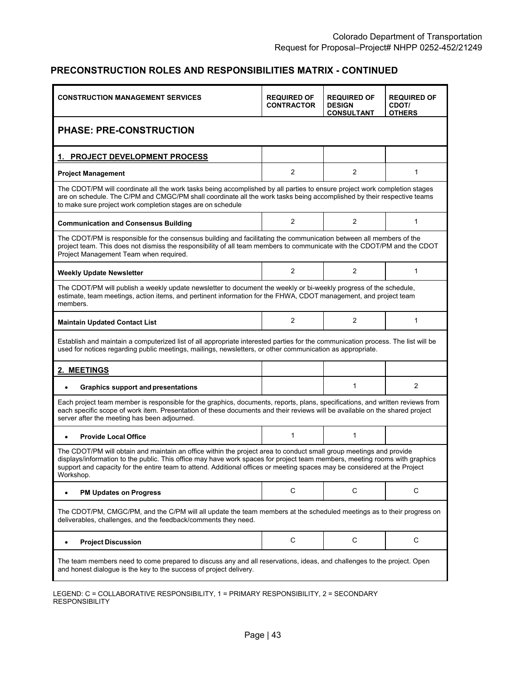| <b>CONSTRUCTION MANAGEMENT SERVICES</b>                                                                                                                                                                                                                                                                                                                                                    | <b>REQUIRED OF</b><br><b>CONTRACTOR</b> | <b>REQUIRED OF</b><br><b>DESIGN</b><br><b>CONSULTANT</b> | <b>REQUIRED OF</b><br><b>CDOT/</b><br><b>OTHERS</b> |  |  |  |
|--------------------------------------------------------------------------------------------------------------------------------------------------------------------------------------------------------------------------------------------------------------------------------------------------------------------------------------------------------------------------------------------|-----------------------------------------|----------------------------------------------------------|-----------------------------------------------------|--|--|--|
| <b>PHASE: PRE-CONSTRUCTION</b>                                                                                                                                                                                                                                                                                                                                                             |                                         |                                                          |                                                     |  |  |  |
| <b>PROJECT DEVELOPMENT PROCESS</b>                                                                                                                                                                                                                                                                                                                                                         |                                         |                                                          |                                                     |  |  |  |
| <b>Project Management</b>                                                                                                                                                                                                                                                                                                                                                                  | $\overline{2}$                          | $\overline{2}$                                           | $\mathbf{1}$                                        |  |  |  |
| The CDOT/PM will coordinate all the work tasks being accomplished by all parties to ensure project work completion stages<br>are on schedule. The C/PM and CMGC/PM shall coordinate all the work tasks being accomplished by their respective teams<br>to make sure project work completion stages are on schedule                                                                         |                                         |                                                          |                                                     |  |  |  |
| <b>Communication and Consensus Building</b>                                                                                                                                                                                                                                                                                                                                                | 2                                       | 2                                                        | $\mathbf{1}$                                        |  |  |  |
| The CDOT/PM is responsible for the consensus building and facilitating the communication between all members of the<br>project team. This does not dismiss the responsibility of all team members to communicate with the CDOT/PM and the CDOT<br>Project Management Team when required.                                                                                                   |                                         |                                                          |                                                     |  |  |  |
| <b>Weekly Update Newsletter</b>                                                                                                                                                                                                                                                                                                                                                            | $\overline{2}$                          | $\overline{2}$                                           | 1                                                   |  |  |  |
| The CDOT/PM will publish a weekly update newsletter to document the weekly or bi-weekly progress of the schedule,<br>estimate, team meetings, action items, and pertinent information for the FHWA, CDOT management, and project team<br>members.                                                                                                                                          |                                         |                                                          |                                                     |  |  |  |
| <b>Maintain Updated Contact List</b>                                                                                                                                                                                                                                                                                                                                                       | $\overline{2}$                          | $\overline{2}$                                           | 1                                                   |  |  |  |
| Establish and maintain a computerized list of all appropriate interested parties for the communication process. The list will be<br>used for notices regarding public meetings, mailings, newsletters, or other communication as appropriate.                                                                                                                                              |                                         |                                                          |                                                     |  |  |  |
| 2. MEETINGS                                                                                                                                                                                                                                                                                                                                                                                |                                         |                                                          |                                                     |  |  |  |
| <b>Graphics support and presentations</b><br>$\bullet$                                                                                                                                                                                                                                                                                                                                     |                                         | $\mathbf{1}$                                             | $\overline{2}$                                      |  |  |  |
| Each project team member is responsible for the graphics, documents, reports, plans, specifications, and written reviews from<br>each specific scope of work item. Presentation of these documents and their reviews will be available on the shared project<br>server after the meeting has been adjourned.                                                                               |                                         |                                                          |                                                     |  |  |  |
| <b>Provide Local Office</b><br>$\bullet$                                                                                                                                                                                                                                                                                                                                                   | $\mathbf{1}$                            | $\mathbf{1}$                                             |                                                     |  |  |  |
| The CDOT/PM will obtain and maintain an office within the project area to conduct small group meetings and provide<br>displays/information to the public. This office may have work spaces for project team members, meeting rooms with graphics<br>support and capacity for the entire team to attend. Additional offices or meeting spaces may be considered at the Project<br>Workshop. |                                         |                                                          |                                                     |  |  |  |
| <b>PM Updates on Progress</b>                                                                                                                                                                                                                                                                                                                                                              | C                                       | C                                                        | C                                                   |  |  |  |
| The CDOT/PM, CMGC/PM, and the C/PM will all update the team members at the scheduled meetings as to their progress on<br>deliverables, challenges, and the feedback/comments they need.                                                                                                                                                                                                    |                                         |                                                          |                                                     |  |  |  |
| <b>Project Discussion</b><br>$\bullet$                                                                                                                                                                                                                                                                                                                                                     | C                                       | C                                                        | C                                                   |  |  |  |
| The team members need to come prepared to discuss any and all reservations, ideas, and challenges to the project. Open<br>and honest dialogue is the key to the success of project delivery.                                                                                                                                                                                               |                                         |                                                          |                                                     |  |  |  |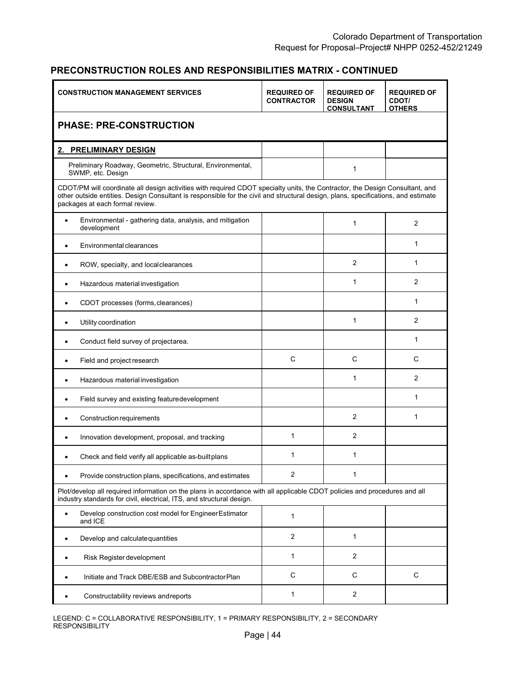| <b>CONSTRUCTION MANAGEMENT SERVICES</b>                                                                                                                                                                                                                                                              | <b>REQUIRED OF</b><br><b>CONTRACTOR</b> | <b>REQUIRED OF</b><br><b>DESIGN</b><br><b>CONSULTANT</b> | <b>REQUIRED OF</b><br>CDOT/<br><b>OTHERS</b> |  |  |
|------------------------------------------------------------------------------------------------------------------------------------------------------------------------------------------------------------------------------------------------------------------------------------------------------|-----------------------------------------|----------------------------------------------------------|----------------------------------------------|--|--|
| <b>PHASE: PRE-CONSTRUCTION</b>                                                                                                                                                                                                                                                                       |                                         |                                                          |                                              |  |  |
| 2. PRELIMINARY DESIGN                                                                                                                                                                                                                                                                                |                                         |                                                          |                                              |  |  |
| Preliminary Roadway, Geometric, Structural, Environmental,<br>SWMP, etc. Design                                                                                                                                                                                                                      |                                         | 1                                                        |                                              |  |  |
| CDOT/PM will coordinate all design activities with required CDOT specialty units, the Contractor, the Design Consultant, and<br>other outside entities. Design Consultant is responsible for the civil and structural design, plans, specifications, and estimate<br>packages at each formal review. |                                         |                                                          |                                              |  |  |
| Environmental - gathering data, analysis, and mitigation<br>development                                                                                                                                                                                                                              |                                         | 1                                                        | 2                                            |  |  |
| Environmental clearances                                                                                                                                                                                                                                                                             |                                         |                                                          | $\mathbf{1}$                                 |  |  |
| ROW, specialty, and localclearances                                                                                                                                                                                                                                                                  |                                         | 2                                                        | 1                                            |  |  |
| Hazardous material investigation<br>$\bullet$                                                                                                                                                                                                                                                        |                                         | 1                                                        | $\overline{2}$                               |  |  |
| CDOT processes (forms, clearances)                                                                                                                                                                                                                                                                   |                                         |                                                          | 1                                            |  |  |
| Utility coordination                                                                                                                                                                                                                                                                                 |                                         | 1                                                        | 2                                            |  |  |
| Conduct field survey of projectarea.<br>$\bullet$                                                                                                                                                                                                                                                    |                                         |                                                          | $\mathbf{1}$                                 |  |  |
| Field and project research<br>$\bullet$                                                                                                                                                                                                                                                              | $\mathsf{C}$                            | $\mathsf{C}$                                             | C                                            |  |  |
| Hazardous material investigation                                                                                                                                                                                                                                                                     |                                         | 1                                                        | 2                                            |  |  |
| Field survey and existing featuredevelopment                                                                                                                                                                                                                                                         |                                         |                                                          | 1                                            |  |  |
| Construction requirements                                                                                                                                                                                                                                                                            |                                         | 2                                                        | 1                                            |  |  |
| Innovation development, proposal, and tracking                                                                                                                                                                                                                                                       | 1                                       | 2                                                        |                                              |  |  |
| Check and field verify all applicable as-built plans                                                                                                                                                                                                                                                 | 1                                       | 1                                                        |                                              |  |  |
| Provide construction plans, specifications, and estimates                                                                                                                                                                                                                                            | 2                                       | 1                                                        |                                              |  |  |
| Plot/develop all required information on the plans in accordance with all applicable CDOT policies and procedures and all<br>industry standards for civil, electrical, ITS, and structural design.                                                                                                   |                                         |                                                          |                                              |  |  |
| Develop construction cost model for Engineer Estimator<br>and ICE                                                                                                                                                                                                                                    | $\mathbf{1}$                            |                                                          |                                              |  |  |
| Develop and calculate quantities                                                                                                                                                                                                                                                                     | $\overline{2}$                          | 1                                                        |                                              |  |  |
| Risk Register development<br>$\bullet$                                                                                                                                                                                                                                                               | 1                                       | $\overline{2}$                                           |                                              |  |  |
| Initiate and Track DBE/ESB and Subcontractor Plan                                                                                                                                                                                                                                                    | C                                       | C                                                        | $\mathbf C$                                  |  |  |
| Constructability reviews andreports                                                                                                                                                                                                                                                                  | 1                                       | $\overline{2}$                                           |                                              |  |  |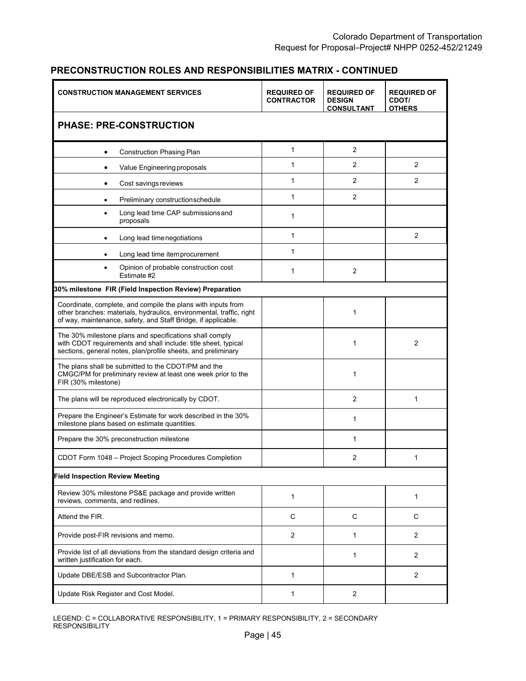|                                                                                                                                                                                                       | <b>CONSTRUCTION MANAGEMENT SERVICES</b> |                | <b>REQUIRED OF</b><br><b>DESIGN</b><br><b>CONSULTANT</b> | <b>REQUIRED OF</b><br>CDOT/<br><b>OTHERS</b> |
|-------------------------------------------------------------------------------------------------------------------------------------------------------------------------------------------------------|-----------------------------------------|----------------|----------------------------------------------------------|----------------------------------------------|
| <b>PHASE: PRE-CONSTRUCTION</b>                                                                                                                                                                        |                                         |                |                                                          |                                              |
| <b>Construction Phasing Plan</b><br>٠                                                                                                                                                                 |                                         | 1              | $\mathbf{2}$                                             |                                              |
| Value Engineering proposals                                                                                                                                                                           |                                         | 1              | $\overline{2}$                                           | 2                                            |
| Cost savings reviews<br>٠                                                                                                                                                                             |                                         | 1              | $\overline{2}$                                           | 2                                            |
| $\bullet$                                                                                                                                                                                             | Preliminary constructionschedule        | 1              | $\overline{2}$                                           |                                              |
| proposals                                                                                                                                                                                             | Long lead time CAP submissions and      | 1              |                                                          |                                              |
| Long lead time negotiations<br>٠                                                                                                                                                                      |                                         | 1              |                                                          | $\overline{2}$                               |
|                                                                                                                                                                                                       | Long lead time item procurement         | 1              |                                                          |                                              |
| Estimate #2                                                                                                                                                                                           | Opinion of probable construction cost   | 1              | 2                                                        |                                              |
| 30% milestone FIR (Field Inspection Review) Preparation                                                                                                                                               |                                         |                |                                                          |                                              |
| Coordinate, complete, and compile the plans with inputs from<br>other branches: materials, hydraulics, environmental, traffic, right<br>of way, maintenance, safety, and Staff Bridge, if applicable. |                                         |                | $\mathbf{1}$                                             |                                              |
| The 30% milestone plans and specifications shall comply<br>with CDOT requirements and shall include: title sheet, typical<br>sections, general notes, plan/profile sheets, and preliminary            |                                         |                | $\mathbf{1}$                                             | $\overline{2}$                               |
| The plans shall be submitted to the CDOT/PM and the<br>CMGC/PM for preliminary review at least one week prior to the<br>FIR (30% milestone)                                                           |                                         |                | $\mathbf{1}$                                             |                                              |
| The plans will be reproduced electronically by CDOT.                                                                                                                                                  |                                         |                | $\overline{2}$                                           | $\mathbf{1}$                                 |
| Prepare the Engineer's Estimate for work described in the 30%<br>milestone plans based on estimate quantities.                                                                                        |                                         |                | $\mathbf{1}$                                             |                                              |
| Prepare the 30% preconstruction milestone                                                                                                                                                             |                                         |                | 1                                                        |                                              |
| CDOT Form 1048 - Project Scoping Procedures Completion                                                                                                                                                |                                         |                | 2                                                        | 1                                            |
| <b>Field Inspection Review Meeting</b>                                                                                                                                                                |                                         |                |                                                          |                                              |
| Review 30% milestone PS&E package and provide written<br>reviews, comments, and redlines.                                                                                                             |                                         | 1              |                                                          | 1                                            |
| Attend the FIR.                                                                                                                                                                                       |                                         | C              | C                                                        | C                                            |
| Provide post-FIR revisions and memo.                                                                                                                                                                  |                                         | $\overline{2}$ | 1                                                        | $\overline{2}$                               |
| Provide list of all deviations from the standard design criteria and<br>written justification for each.                                                                                               |                                         |                | 1                                                        | 2                                            |
| Update DBE/ESB and Subcontractor Plan.                                                                                                                                                                |                                         | 1              |                                                          | $\overline{2}$                               |
| Update Risk Register and Cost Model.                                                                                                                                                                  |                                         | 1              | $\overline{2}$                                           |                                              |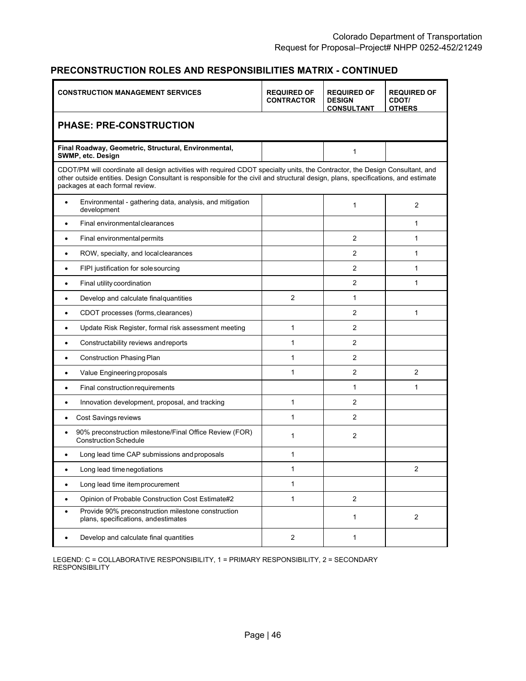| <b>CONSTRUCTION MANAGEMENT SERVICES</b>                                                                                                                                                                                                                                                              | <b>REQUIRED OF</b><br><b>CONTRACTOR</b> | <b>REQUIRED OF</b><br><b>DESIGN</b><br><b>CONSULTANT</b> | <b>REQUIRED OF</b><br>CDOT/<br><b>OTHERS</b> |
|------------------------------------------------------------------------------------------------------------------------------------------------------------------------------------------------------------------------------------------------------------------------------------------------------|-----------------------------------------|----------------------------------------------------------|----------------------------------------------|
| <b>PHASE: PRE-CONSTRUCTION</b>                                                                                                                                                                                                                                                                       |                                         |                                                          |                                              |
| Final Roadway, Geometric, Structural, Environmental,<br>SWMP, etc. Design                                                                                                                                                                                                                            |                                         | 1                                                        |                                              |
| CDOT/PM will coordinate all design activities with required CDOT specialty units, the Contractor, the Design Consultant, and<br>other outside entities. Design Consultant is responsible for the civil and structural design, plans, specifications, and estimate<br>packages at each formal review. |                                         |                                                          |                                              |
| Environmental - gathering data, analysis, and mitigation<br>٠<br>development                                                                                                                                                                                                                         |                                         | 1                                                        | 2                                            |
| Final environmental clearances                                                                                                                                                                                                                                                                       |                                         |                                                          | 1                                            |
| Final environmental permits                                                                                                                                                                                                                                                                          |                                         | 2                                                        | $\mathbf{1}$                                 |
| ROW, specialty, and local clearances<br>$\bullet$                                                                                                                                                                                                                                                    |                                         | 2                                                        | 1                                            |
| FIPI justification for sole sourcing<br>$\bullet$                                                                                                                                                                                                                                                    |                                         | $\overline{2}$                                           | $\mathbf{1}$                                 |
| Final utility coordination<br>$\bullet$                                                                                                                                                                                                                                                              |                                         | $\overline{2}$                                           | 1                                            |
| Develop and calculate final quantities                                                                                                                                                                                                                                                               | $\overline{2}$                          | $\mathbf{1}$                                             |                                              |
| CDOT processes (forms, clearances)                                                                                                                                                                                                                                                                   |                                         | $\overline{2}$                                           | 1                                            |
| Update Risk Register, formal risk assessment meeting                                                                                                                                                                                                                                                 | 1                                       | $\overline{2}$                                           |                                              |
| Constructability reviews andreports                                                                                                                                                                                                                                                                  | 1                                       | $\overline{2}$                                           |                                              |
| <b>Construction Phasing Plan</b>                                                                                                                                                                                                                                                                     | 1                                       | 2                                                        |                                              |
| Value Engineering proposals                                                                                                                                                                                                                                                                          | 1                                       | 2                                                        | 2                                            |
| Final construction requirements<br>$\bullet$                                                                                                                                                                                                                                                         |                                         | 1                                                        | 1                                            |
| Innovation development, proposal, and tracking<br>$\bullet$                                                                                                                                                                                                                                          | 1                                       | $\overline{2}$                                           |                                              |
| Cost Savings reviews<br>$\bullet$                                                                                                                                                                                                                                                                    | 1                                       | 2                                                        |                                              |
| 90% preconstruction milestone/Final Office Review (FOR)<br><b>Construction Schedule</b>                                                                                                                                                                                                              | 1                                       | $\overline{2}$                                           |                                              |
| Long lead time CAP submissions and proposals<br>$\bullet$                                                                                                                                                                                                                                            | 1                                       |                                                          |                                              |
| Long lead time negotiations<br>٠                                                                                                                                                                                                                                                                     | 1                                       |                                                          | 2                                            |
| Long lead time item procurement<br>٠                                                                                                                                                                                                                                                                 | 1                                       |                                                          |                                              |
| Opinion of Probable Construction Cost Estimate#2                                                                                                                                                                                                                                                     | $\mathbf{1}$                            | 2                                                        |                                              |
| Provide 90% preconstruction milestone construction<br>$\bullet$<br>plans, specifications, andestimates                                                                                                                                                                                               |                                         | 1                                                        | $\mathbf{2}$                                 |
| Develop and calculate final quantities                                                                                                                                                                                                                                                               | $\overline{2}$                          | 1                                                        |                                              |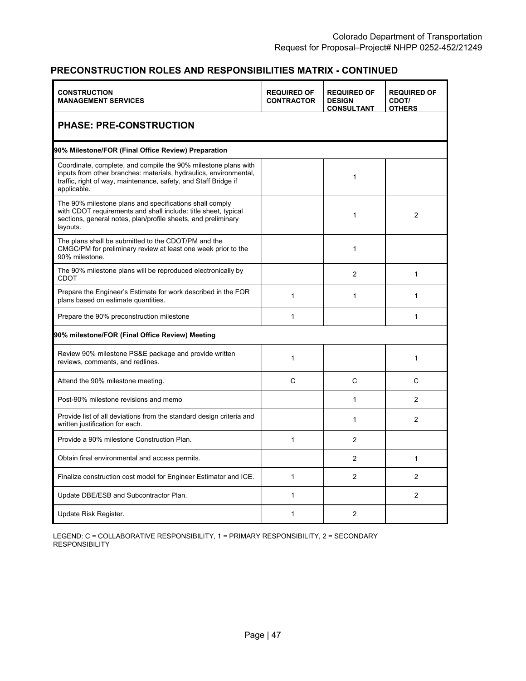| <b>CONSTRUCTION</b><br><b>MANAGEMENT SERVICES</b>                                                                                                                                                                     | <b>REQUIRED OF</b><br><b>CONTRACTOR</b> | <b>REQUIRED OF</b><br><b>DESIGN</b><br><b>CONSULTANT</b> | <b>REQUIRED OF</b><br>CDOT/<br><b>OTHERS</b> |  |  |  |
|-----------------------------------------------------------------------------------------------------------------------------------------------------------------------------------------------------------------------|-----------------------------------------|----------------------------------------------------------|----------------------------------------------|--|--|--|
| <b>PHASE: PRE-CONSTRUCTION</b>                                                                                                                                                                                        |                                         |                                                          |                                              |  |  |  |
| 90% Milestone/FOR (Final Office Review) Preparation                                                                                                                                                                   |                                         |                                                          |                                              |  |  |  |
| Coordinate, complete, and compile the 90% milestone plans with<br>inputs from other branches: materials, hydraulics, environmental,<br>traffic, right of way, maintenance, safety, and Staff Bridge if<br>applicable. |                                         | $\mathbf{1}$                                             |                                              |  |  |  |
| The 90% milestone plans and specifications shall comply<br>with CDOT requirements and shall include: title sheet, typical<br>sections, general notes, plan/profile sheets, and preliminary<br>layouts.                |                                         | $\mathbf{1}$                                             | $\overline{2}$                               |  |  |  |
| The plans shall be submitted to the CDOT/PM and the<br>CMGC/PM for preliminary review at least one week prior to the<br>90% milestone.                                                                                |                                         | $\mathbf{1}$                                             |                                              |  |  |  |
| The 90% milestone plans will be reproduced electronically by<br>CDOT                                                                                                                                                  |                                         | $\overline{2}$                                           | $\mathbf{1}$                                 |  |  |  |
| Prepare the Engineer's Estimate for work described in the FOR<br>plans based on estimate quantities.                                                                                                                  | $\mathbf 1$                             | $\mathbf{1}$                                             | $\mathbf{1}$                                 |  |  |  |
| Prepare the 90% preconstruction milestone                                                                                                                                                                             | 1                                       |                                                          | $\mathbf{1}$                                 |  |  |  |
| 90% milestone/FOR (Final Office Review) Meeting                                                                                                                                                                       |                                         |                                                          |                                              |  |  |  |
| Review 90% milestone PS&E package and provide written<br>reviews, comments, and redlines.                                                                                                                             | $\mathbf 1$                             |                                                          | 1                                            |  |  |  |
| Attend the 90% milestone meeting.                                                                                                                                                                                     | C                                       | $\mathsf{C}$                                             | Ċ                                            |  |  |  |
| Post-90% milestone revisions and memo                                                                                                                                                                                 |                                         | $\mathbf{1}$                                             | 2                                            |  |  |  |
| Provide list of all deviations from the standard design criteria and<br>written justification for each.                                                                                                               |                                         | $\mathbf{1}$                                             | 2                                            |  |  |  |
| Provide a 90% milestone Construction Plan.                                                                                                                                                                            | $\mathbf{1}$                            | 2                                                        |                                              |  |  |  |
| Obtain final environmental and access permits.                                                                                                                                                                        |                                         | $\overline{2}$                                           | 1                                            |  |  |  |
| Finalize construction cost model for Engineer Estimator and ICE.                                                                                                                                                      | $\mathbf{1}$                            | 2                                                        | 2                                            |  |  |  |
| Update DBE/ESB and Subcontractor Plan.                                                                                                                                                                                | 1                                       |                                                          | 2                                            |  |  |  |
| Update Risk Register.                                                                                                                                                                                                 | 1                                       | 2                                                        |                                              |  |  |  |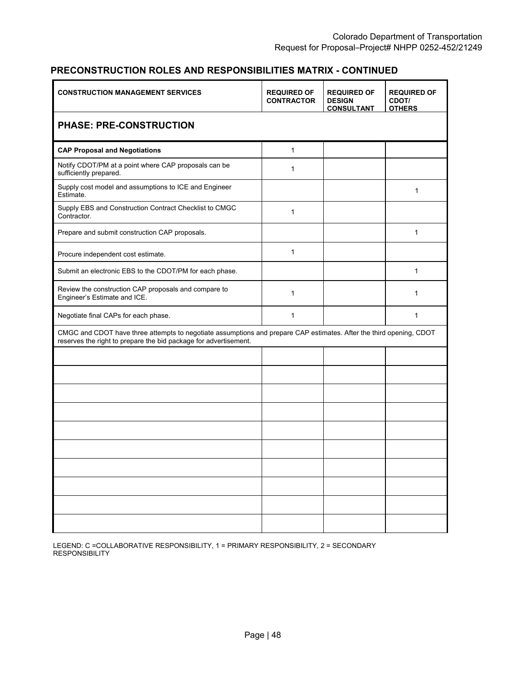| <b>CONSTRUCTION MANAGEMENT SERVICES</b>                                                                                                                                                 | <b>REQUIRED OF</b><br><b>CONTRACTOR</b> | <b>REQUIRED OF</b><br><b>DESIGN</b><br><b>CONSULTANT</b> | <b>REQUIRED OF</b><br>CDOT/<br><b>OTHERS</b> |
|-----------------------------------------------------------------------------------------------------------------------------------------------------------------------------------------|-----------------------------------------|----------------------------------------------------------|----------------------------------------------|
| <b>PHASE: PRE-CONSTRUCTION</b>                                                                                                                                                          |                                         |                                                          |                                              |
| <b>CAP Proposal and Negotiations</b>                                                                                                                                                    | $\mathbf{1}$                            |                                                          |                                              |
| Notify CDOT/PM at a point where CAP proposals can be<br>sufficiently prepared.                                                                                                          | 1                                       |                                                          |                                              |
| Supply cost model and assumptions to ICE and Engineer<br>Estimate.                                                                                                                      |                                         |                                                          | 1                                            |
| Supply EBS and Construction Contract Checklist to CMGC<br>Contractor.                                                                                                                   | 1                                       |                                                          |                                              |
| Prepare and submit construction CAP proposals.                                                                                                                                          |                                         |                                                          | 1                                            |
| Procure independent cost estimate.                                                                                                                                                      | $\mathbf{1}$                            |                                                          |                                              |
| Submit an electronic EBS to the CDOT/PM for each phase.                                                                                                                                 |                                         |                                                          | 1                                            |
| Review the construction CAP proposals and compare to<br>Engineer's Estimate and ICE.                                                                                                    | $\mathbf{1}$                            |                                                          | 1                                            |
| Negotiate final CAPs for each phase.                                                                                                                                                    | 1                                       |                                                          | 1                                            |
| CMGC and CDOT have three attempts to negotiate assumptions and prepare CAP estimates. After the third opening, CDOT<br>reserves the right to prepare the bid package for advertisement. |                                         |                                                          |                                              |
|                                                                                                                                                                                         |                                         |                                                          |                                              |
|                                                                                                                                                                                         |                                         |                                                          |                                              |
|                                                                                                                                                                                         |                                         |                                                          |                                              |
|                                                                                                                                                                                         |                                         |                                                          |                                              |
|                                                                                                                                                                                         |                                         |                                                          |                                              |
|                                                                                                                                                                                         |                                         |                                                          |                                              |
|                                                                                                                                                                                         |                                         |                                                          |                                              |
|                                                                                                                                                                                         |                                         |                                                          |                                              |
|                                                                                                                                                                                         |                                         |                                                          |                                              |
|                                                                                                                                                                                         |                                         |                                                          |                                              |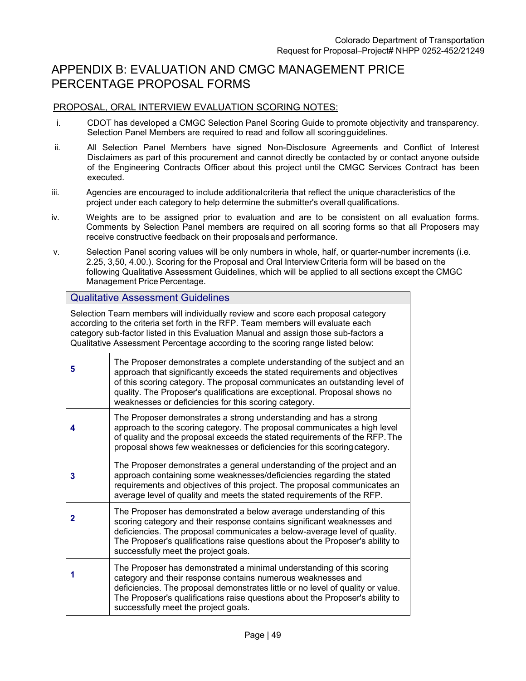# APPENDIX B: EVALUATION AND CMGC MANAGEMENT PRICE PERCENTAGE PROPOSAL FORMS

#### PROPOSAL, ORAL INTERVIEW EVALUATION SCORING NOTES:

- i. CDOT has developed a CMGC Selection Panel Scoring Guide to promote objectivity and transparency. Selection Panel Members are required to read and follow all scoring guidelines.
- ii. All Selection Panel Members have signed Non-Disclosure Agreements and Conflict of Interest Disclaimers as part of this procurement and cannot directly be contacted by or contact anyone outside of the Engineering Contracts Officer about this project until the CMGC Services Contract has been executed.
- iii. Agencies are encouraged to include additional criteria that reflect the unique characteristics of the project under each category to help determine the submitter's overall qualifications.
- iv. Weights are to be assigned prior to evaluation and are to be consistent on all evaluation forms. Comments by Selection Panel members are required on all scoring forms so that all Proposers may receive constructive feedback on their proposals and performance.
- v. Selection Panel scoring values will be only numbers in whole, half, or quarter-number increments (i.e. 2.25, 3,50, 4.00.). Scoring for the Proposal and Oral Interview Criteria form will be based on the following Qualitative Assessment Guidelines, which will be applied to all sections except the CMGC Management Price Percentage.

#### Qualitative Assessment Guidelines

Selection Team members will individually review and score each proposal category according to the criteria set forth in the RFP. Team members will evaluate each category sub-factor listed in this Evaluation Manual and assign those sub-factors a Qualitative Assessment Percentage according to the scoring range listed below:

| 5 | The Proposer demonstrates a complete understanding of the subject and an<br>approach that significantly exceeds the stated requirements and objectives<br>of this scoring category. The proposal communicates an outstanding level of<br>quality. The Proposer's qualifications are exceptional. Proposal shows no<br>weaknesses or deficiencies for this scoring category. |
|---|-----------------------------------------------------------------------------------------------------------------------------------------------------------------------------------------------------------------------------------------------------------------------------------------------------------------------------------------------------------------------------|
| 4 | The Proposer demonstrates a strong understanding and has a strong<br>approach to the scoring category. The proposal communicates a high level<br>of quality and the proposal exceeds the stated requirements of the RFP. The<br>proposal shows few weaknesses or deficiencies for this scoring category.                                                                    |
| 3 | The Proposer demonstrates a general understanding of the project and an<br>approach containing some weaknesses/deficiencies regarding the stated<br>requirements and objectives of this project. The proposal communicates an<br>average level of quality and meets the stated requirements of the RFP.                                                                     |
| 2 | The Proposer has demonstrated a below average understanding of this<br>scoring category and their response contains significant weaknesses and<br>deficiencies. The proposal communicates a below-average level of quality.<br>The Proposer's qualifications raise questions about the Proposer's ability to<br>successfully meet the project goals.                        |
|   | The Proposer has demonstrated a minimal understanding of this scoring<br>category and their response contains numerous weaknesses and<br>deficiencies. The proposal demonstrates little or no level of quality or value.<br>The Proposer's qualifications raise questions about the Proposer's ability to<br>successfully meet the project goals.                           |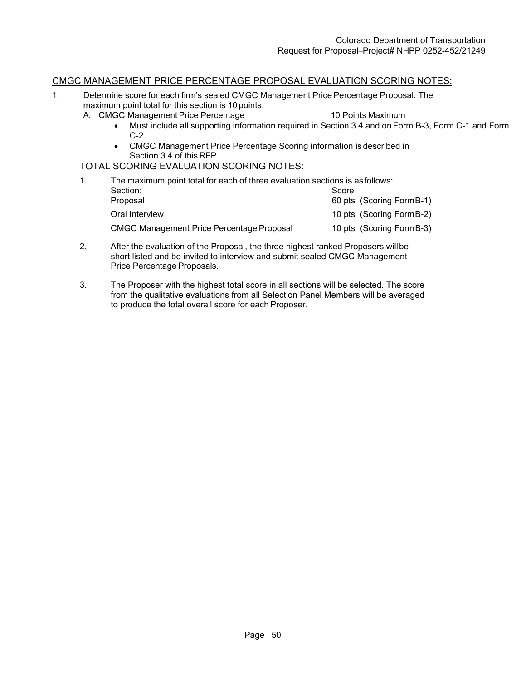#### CMGC MANAGEMENT PRICE PERCENTAGE PROPOSAL EVALUATION SCORING NOTES:

- 1. Determine score for each firm's sealed CMGC Management Price Percentage Proposal. The maximum point total for this section is 10 points.
	- A. CMGC Management Price Percentage 10 Points Maximum
		-
		- Must include all supporting information required in Section 3.4 and on Form B-3, Form C-1 and Form C-2
		- CMGC Management Price Percentage Scoring information is described in Section 3.4 of this RFP.

#### TOTAL SCORING EVALUATION SCORING NOTES:

| The maximum point total for each of three evaluation sections is as follows: |                           |
|------------------------------------------------------------------------------|---------------------------|
| Section:                                                                     | Score                     |
| Proposal                                                                     | 60 pts (Scoring Form B-1) |
| Oral Interview                                                               | 10 pts (Scoring Form B-2) |
| <b>CMGC Management Price Percentage Proposal</b>                             | 10 pts (Scoring Form B-3) |

- 2. After the evaluation of the Proposal, the three highest ranked Proposers will be short listed and be invited to interview and submit sealed CMGC Management Price Percentage Proposals.
- 3. The Proposer with the highest total score in all sections will be selected. The score from the qualitative evaluations from all Selection Panel Members will be averaged to produce the total overall score for each Proposer.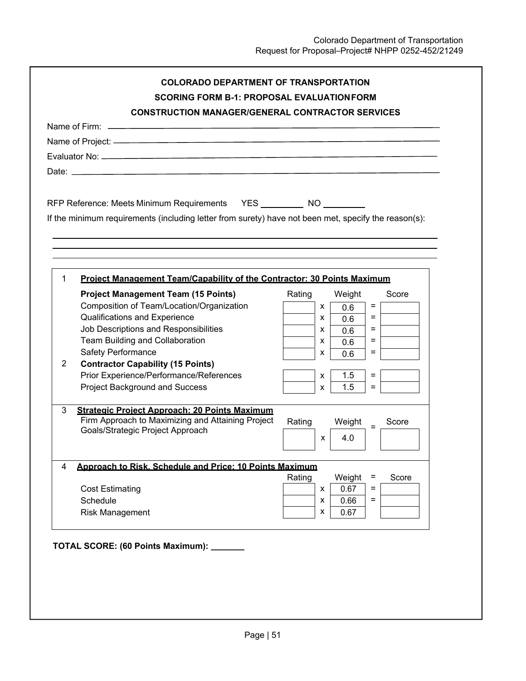|                | RFP Reference: Meets Minimum Requirements YES ___________ NO                                         |        |               |       |
|----------------|------------------------------------------------------------------------------------------------------|--------|---------------|-------|
|                | If the minimum requirements (including letter from surety) have not been met, specify the reason(s): |        |               |       |
|                |                                                                                                      |        |               |       |
|                |                                                                                                      |        |               |       |
|                |                                                                                                      |        |               |       |
| $\mathbf{1}$   | Project Management Team/Capability of the Contractor: 30 Points Maximum                              |        |               |       |
|                |                                                                                                      |        |               |       |
|                | <b>Project Management Team (15 Points)</b>                                                           | Rating | Weight<br>$=$ | Score |
|                | Composition of Team/Location/Organization                                                            | X      | 0.6<br>$=$    |       |
|                | <b>Qualifications and Experience</b>                                                                 | X      | 0.6           |       |
|                | Job Descriptions and Responsibilities                                                                | X      | $=$<br>0.6    |       |
|                | Team Building and Collaboration                                                                      | X      | $=$<br>0.6    |       |
|                | Safety Performance                                                                                   | x      | $=$<br>0.6    |       |
| $\overline{2}$ | <b>Contractor Capability (15 Points)</b>                                                             |        |               |       |
|                | Prior Experience/Performance/References                                                              | X      | 1.5<br>$=$    |       |
|                | Project Background and Success                                                                       | X      | 1.5<br>$=$    |       |
| 3              | <b>Strategic Project Approach: 20 Points Maximum</b>                                                 |        |               |       |
|                | Firm Approach to Maximizing and Attaining Project                                                    | Rating | Weight        | Score |
|                | Goals/Strategic Project Approach                                                                     |        |               |       |
|                |                                                                                                      | X      | 4.0           |       |
|                |                                                                                                      |        |               |       |
| 4              | Approach to Risk. Schedule and Price: 10 Points Maximum                                              | Rating | Weight<br>Ξ   | Score |
|                | <b>Cost Estimating</b>                                                                               | X      | $=$<br>0.67   |       |
|                | Schedule                                                                                             | x      | 0.66<br>$=$   |       |
|                | <b>Risk Management</b>                                                                               | x      | 0.67          |       |
|                |                                                                                                      |        |               |       |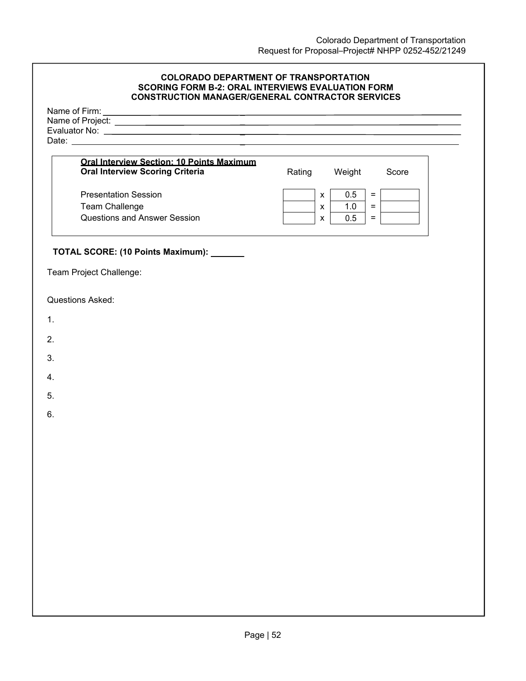#### **COLORADO DEPARTMENT OF TRANSPORTATION SCORING FORM B-2: ORAL INTERVIEWS EVALUATION FORM CONSTRUCTION MANAGER/GENERAL CONTRACTOR SERVICES**

| Name of Firm:    |  |  |
|------------------|--|--|
| Name of Project: |  |  |
| Evaluator No:    |  |  |
| Date:            |  |  |
|                  |  |  |

| <b>Oral Interview Section: 10 Points Maximum</b><br><b>Oral Interview Scoring Criteria</b> | Rating |   | Weight | Score |
|--------------------------------------------------------------------------------------------|--------|---|--------|-------|
| <b>Presentation Session</b>                                                                |        |   | 0.5    |       |
| Team Challenge                                                                             |        | x | 1.0    |       |
| <b>Questions and Answer Session</b>                                                        |        |   | 0.5    |       |

# **TOTAL SCORE: (10 Points Maximum):**

Team Project Challenge:

Questions Asked:

- 1.
- 2.
- 
- 3.
- 4.
- 5.
- 
- 6.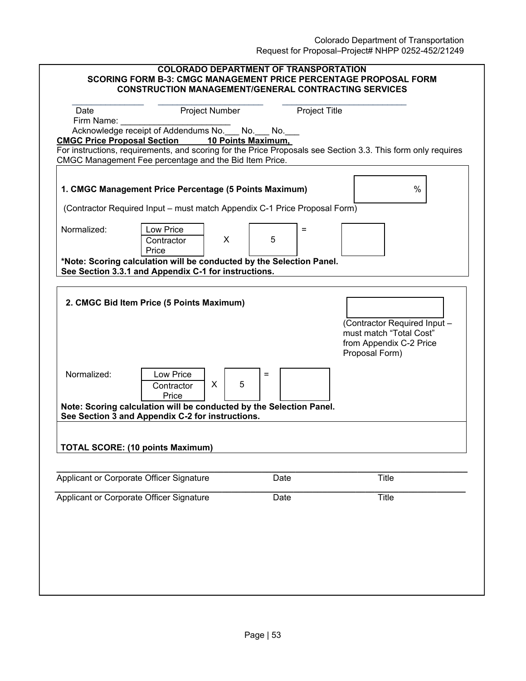|                                                                                                                                                                                        |                                                                                                                                                                        |                    |                      | Request for Proposal–Project# NHPP 0252-452/21249                                                    |      |
|----------------------------------------------------------------------------------------------------------------------------------------------------------------------------------------|------------------------------------------------------------------------------------------------------------------------------------------------------------------------|--------------------|----------------------|------------------------------------------------------------------------------------------------------|------|
| <b>COLORADO DEPARTMENT OF TRANSPORTATION</b><br><b>SCORING FORM B-3: CMGC MANAGEMENT PRICE PERCENTAGE PROPOSAL FORM</b><br><b>CONSTRUCTION MANAGEMENT/GENERAL CONTRACTING SERVICES</b> |                                                                                                                                                                        |                    |                      |                                                                                                      |      |
| Date<br>Firm Name:                                                                                                                                                                     | Project Number                                                                                                                                                         |                    | <b>Project Title</b> |                                                                                                      |      |
|                                                                                                                                                                                        | Acknowledge receipt of Addendums No.__ No.__ No._                                                                                                                      |                    |                      |                                                                                                      |      |
| <b>CMGC Price Proposal Section</b>                                                                                                                                                     |                                                                                                                                                                        | 10 Points Maximum, |                      |                                                                                                      |      |
|                                                                                                                                                                                        | For instructions, requirements, and scoring for the Price Proposals see Section 3.3. This form only requires<br>CMGC Management Fee percentage and the Bid Item Price. |                    |                      |                                                                                                      |      |
| Normalized:                                                                                                                                                                            | 1. CMGC Management Price Percentage (5 Points Maximum)<br>(Contractor Required Input – must match Appendix C-1 Price Proposal Form)<br><b>Low Price</b>                |                    | $=$                  |                                                                                                      | $\%$ |
|                                                                                                                                                                                        | Contractor<br>Price                                                                                                                                                    | X<br>5             |                      |                                                                                                      |      |
| *Note: Scoring calculation will be conducted by the Selection Panel.<br>See Section 3.3.1 and Appendix C-1 for instructions.                                                           |                                                                                                                                                                        |                    |                      |                                                                                                      |      |
|                                                                                                                                                                                        | 2. CMGC Bid Item Price (5 Points Maximum)                                                                                                                              |                    |                      | (Contractor Required Input -<br>must match "Total Cost"<br>from Appendix C-2 Price<br>Proposal Form) |      |
| Normalized:                                                                                                                                                                            | Low Price<br>X<br>Contractor                                                                                                                                           | $=$<br>5           |                      |                                                                                                      |      |

Price

**See Section 3 and Appendix C-2 for instructions.** 

**TOTAL SCORE: (10 points Maximum)**

**Note: Scoring calculation will be conducted by the Selection Panel.** 

**\_\_\_\_\_\_\_\_\_\_\_\_\_\_\_\_\_\_\_\_\_\_\_\_\_\_\_\_\_\_\_\_\_\_\_\_\_\_\_\_\_\_\_\_\_\_\_\_\_\_\_\_\_\_\_\_\_\_\_\_\_\_\_\_\_\_\_\_\_\_\_\_\_\_\_\_\_\_\_\_\_\_\_\_\_\_** 

**\_\_\_\_\_\_\_\_\_\_\_\_\_\_\_\_\_\_\_\_\_\_\_\_\_\_\_\_\_\_\_\_\_\_\_\_\_\_\_\_\_\_\_\_\_\_\_\_\_\_\_\_\_\_\_\_\_\_\_\_\_\_\_\_\_\_\_\_\_\_\_\_\_\_\_\_\_\_\_\_\_\_\_\_\_\_** 

Applicant or Corporate Officer Signature Date Date Title

Applicant or Corporate Officer Signature Date Date Title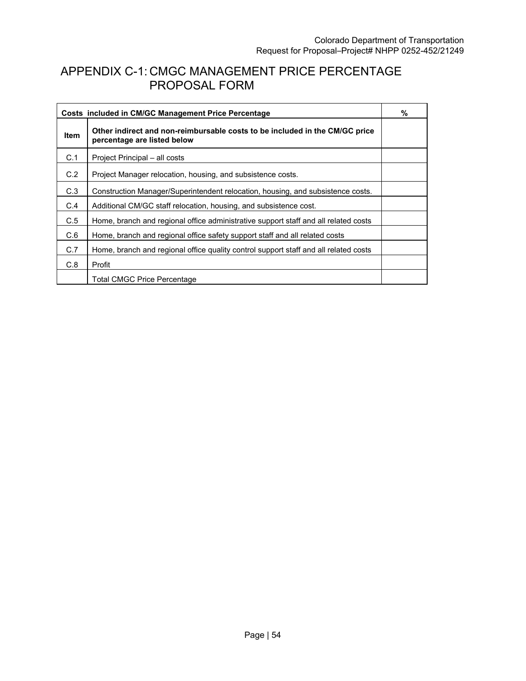# APPENDIX C-1: CMGC MANAGEMENT PRICE PERCENTAGE PROPOSAL FORM

| Costs included in CM/GC Management Price Percentage |                                                                                                            |  |
|-----------------------------------------------------|------------------------------------------------------------------------------------------------------------|--|
| <b>Item</b>                                         | Other indirect and non-reimbursable costs to be included in the CM/GC price<br>percentage are listed below |  |
| C.1                                                 | Project Principal – all costs                                                                              |  |
| C.2                                                 | Project Manager relocation, housing, and subsistence costs.                                                |  |
| C.3                                                 | Construction Manager/Superintendent relocation, housing, and subsistence costs.                            |  |
| C.4                                                 | Additional CM/GC staff relocation, housing, and subsistence cost.                                          |  |
| C.5                                                 | Home, branch and regional office administrative support staff and all related costs                        |  |
| C.6                                                 | Home, branch and regional office safety support staff and all related costs                                |  |
| C.7                                                 | Home, branch and regional office quality control support staff and all related costs                       |  |
| C.8                                                 | Profit                                                                                                     |  |
|                                                     | <b>Total CMGC Price Percentage</b>                                                                         |  |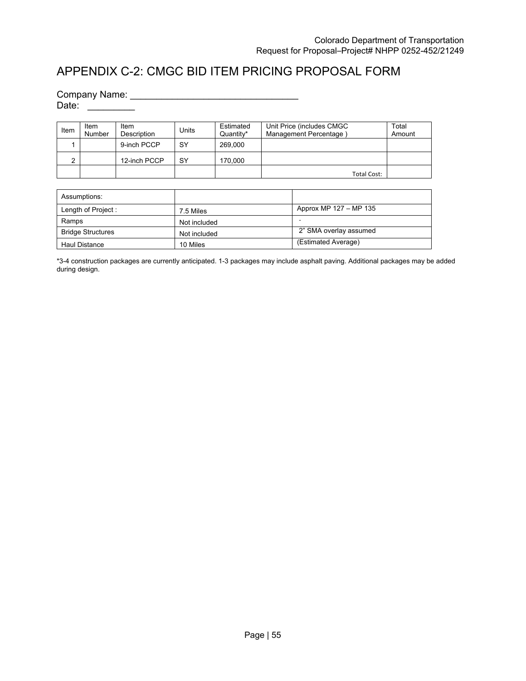# APPENDIX C-2: CMGC BID ITEM PRICING PROPOSAL FORM

Company Name: \_\_\_\_\_\_\_\_\_\_\_\_\_\_\_\_\_\_\_\_\_\_\_\_\_\_\_\_\_\_\_\_

Date: \_\_\_\_\_\_\_\_\_

| Item | Item<br>Number | Item<br>Description | Units | Estimated<br>Quantity* | Unit Price (includes CMGC<br>Management Percentage | Total<br>Amount |
|------|----------------|---------------------|-------|------------------------|----------------------------------------------------|-----------------|
|      |                | 9-inch PCCP         | SY    | 269,000                |                                                    |                 |
| ົ    |                | 12-inch PCCP        | SY    | 170.000                |                                                    |                 |
|      |                |                     |       |                        | Total Cost:                                        |                 |

| Assumptions:             |              |                        |
|--------------------------|--------------|------------------------|
| Length of Project:       | 7.5 Miles    | Approx MP 127 - MP 135 |
| Ramps                    | Not included |                        |
| <b>Bridge Structures</b> | Not included | 2" SMA overlay assumed |
| <b>Haul Distance</b>     | 10 Miles     | (Estimated Average)    |

\*3-4 construction packages are currently anticipated. 1-3 packages may include asphalt paving. Additional packages may be added during design.